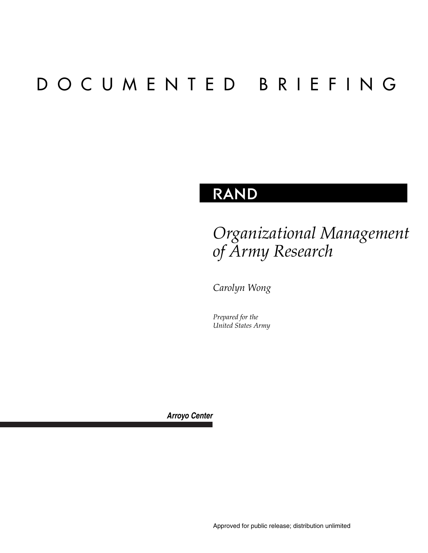## DOCUMENTED BRIEFING

### **RAND**

## *Organizational Management of Army Research*

*Carolyn Wong*

*Prepared for the United States Army*

*Arroyo Center*

Approved for public release; distribution unlimited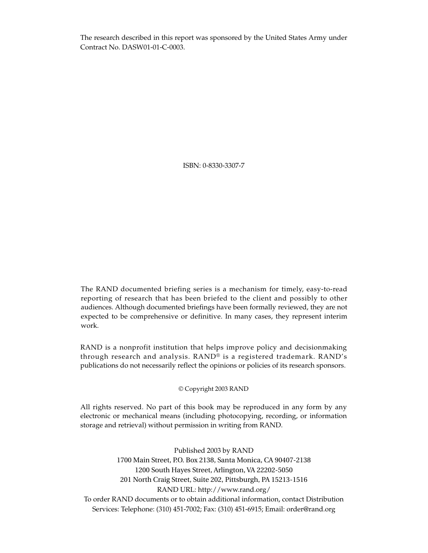The research described in this report was sponsored by the United States Army under Contract No. DASW01-01-C-0003.

ISBN: 0-8330-3307-7

The RAND documented briefing series is a mechanism for timely, easy-to-read reporting of research that has been briefed to the client and possibly to other audiences. Although documented briefings have been formally reviewed, they are not expected to be comprehensive or definitive. In many cases, they represent interim work.

RAND is a nonprofit institution that helps improve policy and decisionmaking through research and analysis. RAND® is a registered trademark. RAND's publications do not necessarily reflect the opinions or policies of its research sponsors.

#### © Copyright 2003 RAND

All rights reserved. No part of this book may be reproduced in any form by any electronic or mechanical means (including photocopying, recording, or information storage and retrieval) without permission in writing from RAND.

Published 2003 by RAND 1700 Main Street, P.O. Box 2138, Santa Monica, CA 90407-2138 1200 South Hayes Street, Arlington, VA 22202-5050 201 North Craig Street, Suite 202, Pittsburgh, PA 15213-1516 RAND URL: http://www.rand.org/ To order RAND documents or to obtain additional information, contact Distribution Services: Telephone: (310) 451-7002; Fax: (310) 451-6915; Email: order@rand.org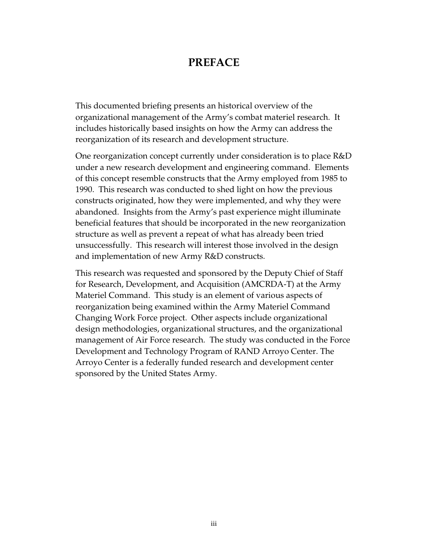### **PREFACE**

This documented briefing presents an historical overview of the organizational management of the Army's combat materiel research. It includes historically based insights on how the Army can address the reorganization of its research and development structure.

One reorganization concept currently under consideration is to place R&D under a new research development and engineering command. Elements of this concept resemble constructs that the Army employed from 1985 to 1990. This research was conducted to shed light on how the previous constructs originated, how they were implemented, and why they were abandoned. Insights from the Army's past experience might illuminate beneficial features that should be incorporated in the new reorganization structure as well as prevent a repeat of what has already been tried unsuccessfully. This research will interest those involved in the design and implementation of new Army R&D constructs.

This research was requested and sponsored by the Deputy Chief of Staff for Research, Development, and Acquisition (AMCRDA-T) at the Army Materiel Command. This study is an element of various aspects of reorganization being examined within the Army Materiel Command Changing Work Force project. Other aspects include organizational design methodologies, organizational structures, and the organizational management of Air Force research. The study was conducted in the Force Development and Technology Program of RAND Arroyo Center. The Arroyo Center is a federally funded research and development center sponsored by the United States Army.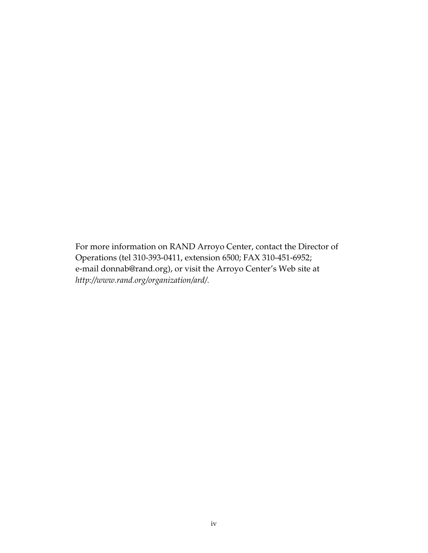For more information on RAND Arroyo Center, contact the Director of Operations (tel 310-393-0411, extension 6500; FAX 310-451-6952; e-mail donnab@rand.org), or visit the Arroyo Center's Web site at *http://www.rand.org/organization/ard/.*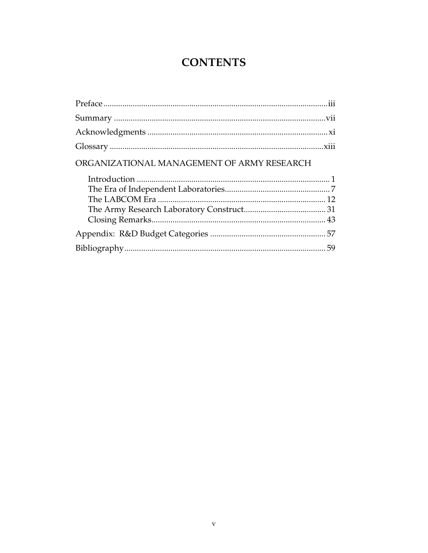### **CONTENTS**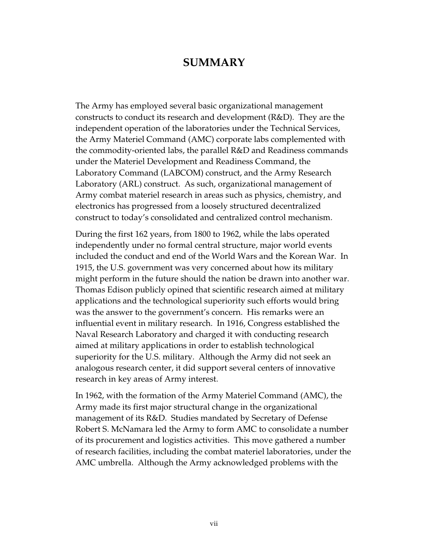### **SUMMARY**

The Army has employed several basic organizational management constructs to conduct its research and development (R&D). They are the independent operation of the laboratories under the Technical Services, the Army Materiel Command (AMC) corporate labs complemented with the commodity-oriented labs, the parallel R&D and Readiness commands under the Materiel Development and Readiness Command, the Laboratory Command (LABCOM) construct, and the Army Research Laboratory (ARL) construct. As such, organizational management of Army combat materiel research in areas such as physics, chemistry, and electronics has progressed from a loosely structured decentralized construct to today's consolidated and centralized control mechanism.

During the first 162 years, from 1800 to 1962, while the labs operated independently under no formal central structure, major world events included the conduct and end of the World Wars and the Korean War. In 1915, the U.S. government was very concerned about how its military might perform in the future should the nation be drawn into another war. Thomas Edison publicly opined that scientific research aimed at military applications and the technological superiority such efforts would bring was the answer to the government's concern. His remarks were an influential event in military research. In 1916, Congress established the Naval Research Laboratory and charged it with conducting research aimed at military applications in order to establish technological superiority for the U.S. military. Although the Army did not seek an analogous research center, it did support several centers of innovative research in key areas of Army interest.

In 1962, with the formation of the Army Materiel Command (AMC), the Army made its first major structural change in the organizational management of its R&D. Studies mandated by Secretary of Defense Robert S. McNamara led the Army to form AMC to consolidate a number of its procurement and logistics activities. This move gathered a number of research facilities, including the combat materiel laboratories, under the AMC umbrella. Although the Army acknowledged problems with the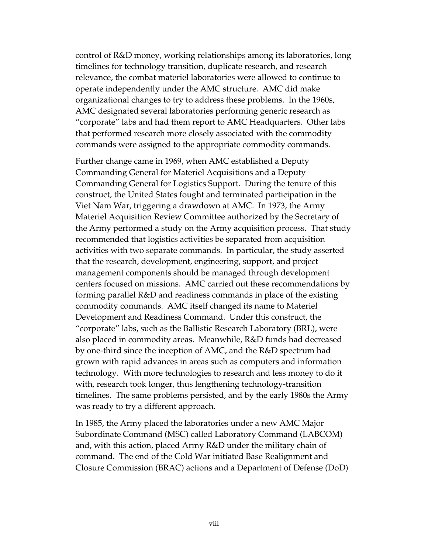control of R&D money, working relationships among its laboratories, long timelines for technology transition, duplicate research, and research relevance, the combat materiel laboratories were allowed to continue to operate independently under the AMC structure. AMC did make organizational changes to try to address these problems. In the 1960s, AMC designated several laboratories performing generic research as "corporate" labs and had them report to AMC Headquarters. Other labs that performed research more closely associated with the commodity commands were assigned to the appropriate commodity commands.

Further change came in 1969, when AMC established a Deputy Commanding General for Materiel Acquisitions and a Deputy Commanding General for Logistics Support. During the tenure of this construct, the United States fought and terminated participation in the Viet Nam War, triggering a drawdown at AMC. In 1973, the Army Materiel Acquisition Review Committee authorized by the Secretary of the Army performed a study on the Army acquisition process. That study recommended that logistics activities be separated from acquisition activities with two separate commands. In particular, the study asserted that the research, development, engineering, support, and project management components should be managed through development centers focused on missions. AMC carried out these recommendations by forming parallel R&D and readiness commands in place of the existing commodity commands. AMC itself changed its name to Materiel Development and Readiness Command. Under this construct, the "corporate" labs, such as the Ballistic Research Laboratory (BRL), were also placed in commodity areas. Meanwhile, R&D funds had decreased by one-third since the inception of AMC, and the R&D spectrum had grown with rapid advances in areas such as computers and information technology. With more technologies to research and less money to do it with, research took longer, thus lengthening technology-transition timelines. The same problems persisted, and by the early 1980s the Army was ready to try a different approach.

In 1985, the Army placed the laboratories under a new AMC Major Subordinate Command (MSC) called Laboratory Command (LABCOM) and, with this action, placed Army R&D under the military chain of command. The end of the Cold War initiated Base Realignment and Closure Commission (BRAC) actions and a Department of Defense (DoD)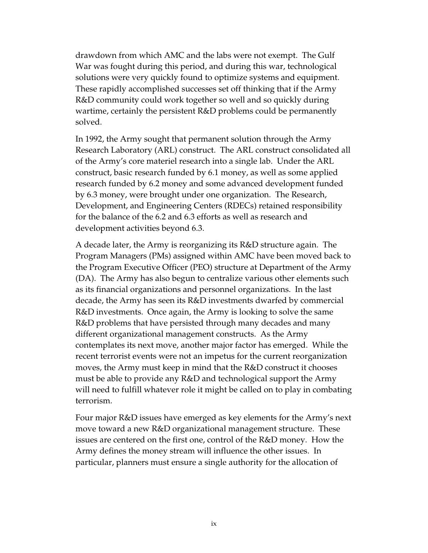drawdown from which AMC and the labs were not exempt. The Gulf War was fought during this period, and during this war, technological solutions were very quickly found to optimize systems and equipment. These rapidly accomplished successes set off thinking that if the Army R&D community could work together so well and so quickly during wartime, certainly the persistent R&D problems could be permanently solved.

In 1992, the Army sought that permanent solution through the Army Research Laboratory (ARL) construct. The ARL construct consolidated all of the Army's core materiel research into a single lab. Under the ARL construct, basic research funded by 6.1 money, as well as some applied research funded by 6.2 money and some advanced development funded by 6.3 money, were brought under one organization. The Research, Development, and Engineering Centers (RDECs) retained responsibility for the balance of the 6.2 and 6.3 efforts as well as research and development activities beyond 6.3.

A decade later, the Army is reorganizing its R&D structure again. The Program Managers (PMs) assigned within AMC have been moved back to the Program Executive Officer (PEO) structure at Department of the Army (DA). The Army has also begun to centralize various other elements such as its financial organizations and personnel organizations. In the last decade, the Army has seen its R&D investments dwarfed by commercial R&D investments. Once again, the Army is looking to solve the same R&D problems that have persisted through many decades and many different organizational management constructs. As the Army contemplates its next move, another major factor has emerged. While the recent terrorist events were not an impetus for the current reorganization moves, the Army must keep in mind that the R&D construct it chooses must be able to provide any R&D and technological support the Army will need to fulfill whatever role it might be called on to play in combating terrorism.

Four major R&D issues have emerged as key elements for the Army's next move toward a new R&D organizational management structure. These issues are centered on the first one, control of the R&D money. How the Army defines the money stream will influence the other issues. In particular, planners must ensure a single authority for the allocation of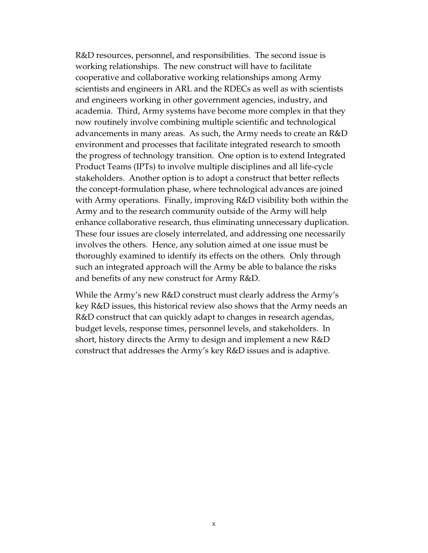R&D resources, personnel, and responsibilities. The second issue is working relationships. The new construct will have to facilitate cooperative and collaborative working relationships among Army scientists and engineers in ARL and the RDECs as well as with scientists and engineers working in other government agencies, industry, and academia. Third, Army systems have become more complex in that they now routinely involve combining multiple scientific and technological advancements in many areas. As such, the Army needs to create an R&D environment and processes that facilitate integrated research to smooth the progress of technology transition. One option is to extend Integrated Product Teams (IPTs) to involve multiple disciplines and all life-cycle stakeholders. Another option is to adopt a construct that better reflects the concept-formulation phase, where technological advances are joined with Army operations. Finally, improving R&D visibility both within the Army and to the research community outside of the Army will help enhance collaborative research, thus eliminating unnecessary duplication. These four issues are closely interrelated, and addressing one necessarily involves the others. Hence, any solution aimed at one issue must be thoroughly examined to identify its effects on the others. Only through such an integrated approach will the Army be able to balance the risks and benefits of any new construct for Army R&D.

While the Army's new R&D construct must clearly address the Army's key R&D issues, this historical review also shows that the Army needs an R&D construct that can quickly adapt to changes in research agendas, budget levels, response times, personnel levels, and stakeholders. In short, history directs the Army to design and implement a new R&D construct that addresses the Army's key R&D issues and is adaptive.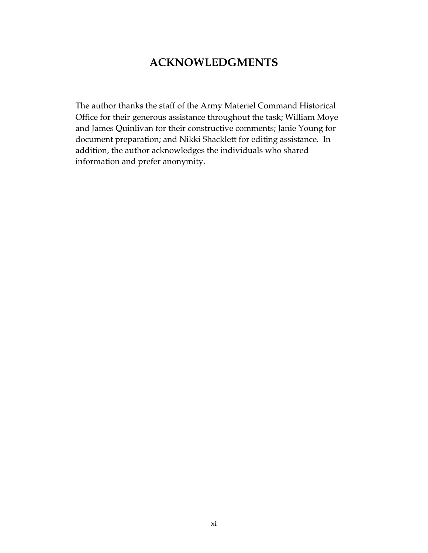### **ACKNOWLEDGMENTS**

The author thanks the staff of the Army Materiel Command Historical Office for their generous assistance throughout the task; William Moye and James Quinlivan for their constructive comments; Janie Young for document preparation; and Nikki Shacklett for editing assistance. In addition, the author acknowledges the individuals who shared information and prefer anonymity.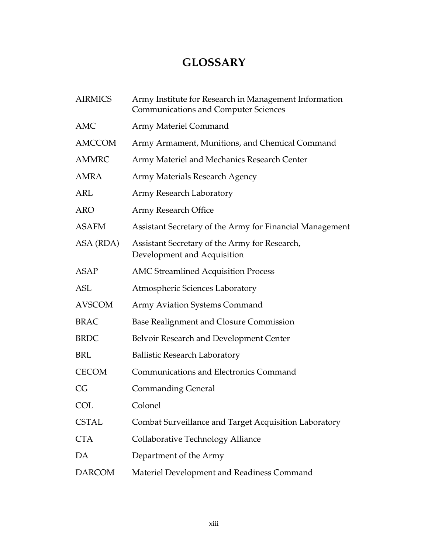### **GLOSSARY**

| <b>AIRMICS</b> | Army Institute for Research in Management Information<br><b>Communications and Computer Sciences</b> |
|----------------|------------------------------------------------------------------------------------------------------|
| AMC            | Army Materiel Command                                                                                |
| <b>AMCCOM</b>  | Army Armament, Munitions, and Chemical Command                                                       |
| <b>AMMRC</b>   | Army Materiel and Mechanics Research Center                                                          |
| <b>AMRA</b>    | <b>Army Materials Research Agency</b>                                                                |
| <b>ARL</b>     | Army Research Laboratory                                                                             |
| <b>ARO</b>     | Army Research Office                                                                                 |
| <b>ASAFM</b>   | Assistant Secretary of the Army for Financial Management                                             |
| ASA (RDA)      | Assistant Secretary of the Army for Research,<br>Development and Acquisition                         |
| <b>ASAP</b>    | <b>AMC Streamlined Acquisition Process</b>                                                           |
| ASL            | Atmospheric Sciences Laboratory                                                                      |
| <b>AVSCOM</b>  | Army Aviation Systems Command                                                                        |
| <b>BRAC</b>    | Base Realignment and Closure Commission                                                              |
| <b>BRDC</b>    | Belvoir Research and Development Center                                                              |
| BRL            | <b>Ballistic Research Laboratory</b>                                                                 |
| <b>CECOM</b>   | <b>Communications and Electronics Command</b>                                                        |
| CG             | <b>Commanding General</b>                                                                            |
| <b>COL</b>     | Colonel                                                                                              |
| <b>CSTAL</b>   | <b>Combat Surveillance and Target Acquisition Laboratory</b>                                         |
| <b>CTA</b>     | Collaborative Technology Alliance                                                                    |
| DA             | Department of the Army                                                                               |
| <b>DARCOM</b>  | Materiel Development and Readiness Command                                                           |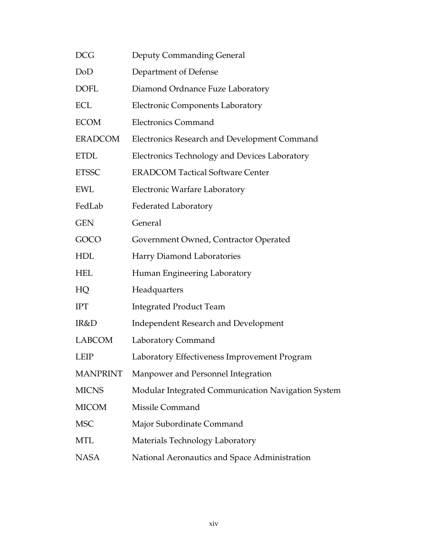| <b>DCG</b>      | Deputy Commanding General                            |
|-----------------|------------------------------------------------------|
| DoD             | Department of Defense                                |
| <b>DOFL</b>     | Diamond Ordnance Fuze Laboratory                     |
| <b>ECL</b>      | <b>Electronic Components Laboratory</b>              |
| <b>ECOM</b>     | <b>Electronics Command</b>                           |
| <b>ERADCOM</b>  | Electronics Research and Development Command         |
| <b>ETDL</b>     | <b>Electronics Technology and Devices Laboratory</b> |
| <b>ETSSC</b>    | <b>ERADCOM Tactical Software Center</b>              |
| <b>EWL</b>      | <b>Electronic Warfare Laboratory</b>                 |
| FedLab          | <b>Federated Laboratory</b>                          |
| <b>GEN</b>      | General                                              |
| GOCO            | Government Owned, Contractor Operated                |
| <b>HDL</b>      | Harry Diamond Laboratories                           |
| <b>HEL</b>      | Human Engineering Laboratory                         |
| HQ              | Headquarters                                         |
| <b>IPT</b>      | <b>Integrated Product Team</b>                       |
| IR&D            | <b>Independent Research and Development</b>          |
| <b>LABCOM</b>   | Laboratory Command                                   |
| <b>LEIP</b>     | Laboratory Effectiveness Improvement Program         |
| <b>MANPRINT</b> | Manpower and Personnel Integration                   |
| <b>MICNS</b>    | Modular Integrated Communication Navigation System   |
| <b>MICOM</b>    | Missile Command                                      |
| <b>MSC</b>      | Major Subordinate Command                            |
| <b>MTL</b>      | Materials Technology Laboratory                      |
| <b>NASA</b>     | National Aeronautics and Space Administration        |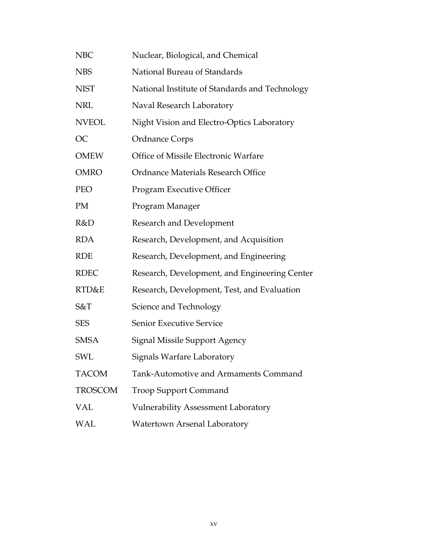| <b>NBC</b>     | Nuclear, Biological, and Chemical              |
|----------------|------------------------------------------------|
| <b>NBS</b>     | National Bureau of Standards                   |
| <b>NIST</b>    | National Institute of Standards and Technology |
| <b>NRL</b>     | Naval Research Laboratory                      |
| <b>NVEOL</b>   | Night Vision and Electro-Optics Laboratory     |
| <b>OC</b>      | <b>Ordnance Corps</b>                          |
| <b>OMEW</b>    | Office of Missile Electronic Warfare           |
| <b>OMRO</b>    | <b>Ordnance Materials Research Office</b>      |
| PEO            | Program Executive Officer                      |
| PM             | Program Manager                                |
| R&D            | Research and Development                       |
| <b>RDA</b>     | Research, Development, and Acquisition         |
| <b>RDE</b>     | Research, Development, and Engineering         |
| <b>RDEC</b>    | Research, Development, and Engineering Center  |
| RTD&E          | Research, Development, Test, and Evaluation    |
| S&T            | Science and Technology                         |
| SES            | <b>Senior Executive Service</b>                |
| <b>SMSA</b>    | Signal Missile Support Agency                  |
| SWL            | <b>Signals Warfare Laboratory</b>              |
| <b>TACOM</b>   | Tank-Automotive and Armaments Command          |
| <b>TROSCOM</b> | <b>Troop Support Command</b>                   |
| <b>VAL</b>     | Vulnerability Assessment Laboratory            |
| <b>WAL</b>     | <b>Watertown Arsenal Laboratory</b>            |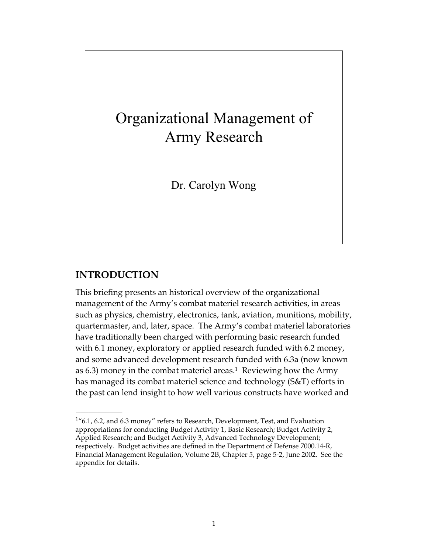

### **INTRODUCTION**

\_\_\_\_\_\_\_\_\_\_\_

This briefing presents an historical overview of the organizational management of the Army's combat materiel research activities, in areas such as physics, chemistry, electronics, tank, aviation, munitions, mobility, quartermaster, and, later, space. The Army's combat materiel laboratories have traditionally been charged with performing basic research funded with 6.1 money, exploratory or applied research funded with 6.2 money, and some advanced development research funded with 6.3a (now known as  $6.3$ ) money in the combat materiel areas.<sup>1</sup> Reviewing how the Army has managed its combat materiel science and technology (S&T) efforts in the past can lend insight to how well various constructs have worked and

 $146.1$ , 6.2, and 6.3 money" refers to Research, Development, Test, and Evaluation appropriations for conducting Budget Activity 1, Basic Research; Budget Activity 2, Applied Research; and Budget Activity 3, Advanced Technology Development; respectively. Budget activities are defined in the Department of Defense 7000.14-R, Financial Management Regulation, Volume 2B, Chapter 5, page 5-2, June 2002. See the appendix for details.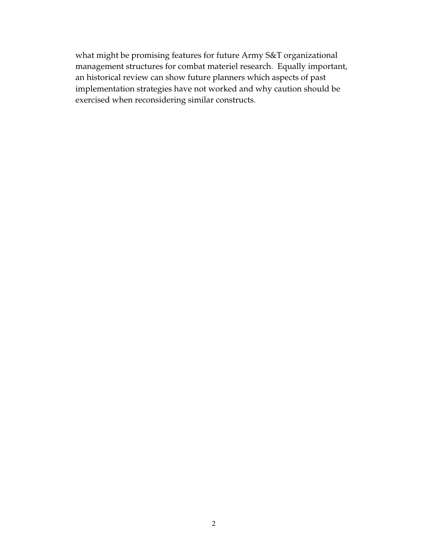what might be promising features for future Army S&T organizational management structures for combat materiel research. Equally important, an historical review can show future planners which aspects of past implementation strategies have not worked and why caution should be exercised when reconsidering similar constructs.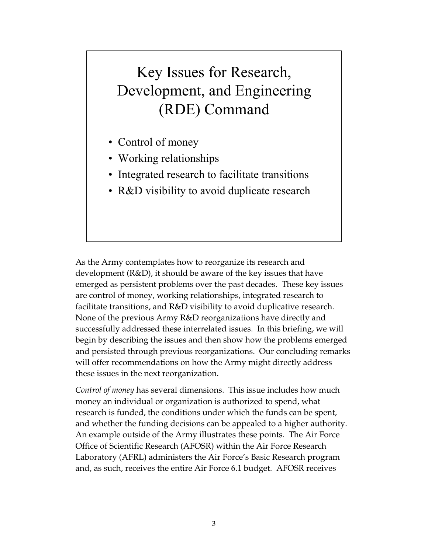## Key Issues for Research, Development, and Engineering (RDE) Command

- Control of money
- Working relationships
- Integrated research to facilitate transitions
- R&D visibility to avoid duplicate research

As the Army contemplates how to reorganize its research and development (R&D), it should be aware of the key issues that have emerged as persistent problems over the past decades. These key issues are control of money, working relationships, integrated research to facilitate transitions, and R&D visibility to avoid duplicative research. None of the previous Army R&D reorganizations have directly and successfully addressed these interrelated issues. In this briefing, we will begin by describing the issues and then show how the problems emerged and persisted through previous reorganizations. Our concluding remarks will offer recommendations on how the Army might directly address these issues in the next reorganization.

*Control of money* has several dimensions. This issue includes how much money an individual or organization is authorized to spend, what research is funded, the conditions under which the funds can be spent, and whether the funding decisions can be appealed to a higher authority. An example outside of the Army illustrates these points. The Air Force Office of Scientific Research (AFOSR) within the Air Force Research Laboratory (AFRL) administers the Air Force's Basic Research program and, as such, receives the entire Air Force 6.1 budget. AFOSR receives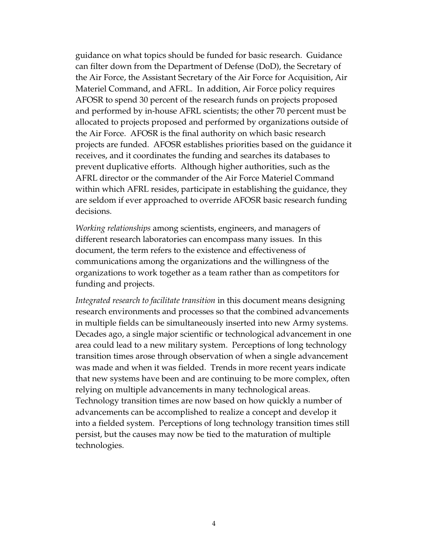guidance on what topics should be funded for basic research. Guidance can filter down from the Department of Defense (DoD), the Secretary of the Air Force, the Assistant Secretary of the Air Force for Acquisition, Air Materiel Command, and AFRL. In addition, Air Force policy requires AFOSR to spend 30 percent of the research funds on projects proposed and performed by in-house AFRL scientists; the other 70 percent must be allocated to projects proposed and performed by organizations outside of the Air Force. AFOSR is the final authority on which basic research projects are funded. AFOSR establishes priorities based on the guidance it receives, and it coordinates the funding and searches its databases to prevent duplicative efforts. Although higher authorities, such as the AFRL director or the commander of the Air Force Materiel Command within which AFRL resides, participate in establishing the guidance, they are seldom if ever approached to override AFOSR basic research funding decisions.

*Working relationships* among scientists, engineers, and managers of different research laboratories can encompass many issues. In this document, the term refers to the existence and effectiveness of communications among the organizations and the willingness of the organizations to work together as a team rather than as competitors for funding and projects.

*Integrated research to facilitate transition* in this document means designing research environments and processes so that the combined advancements in multiple fields can be simultaneously inserted into new Army systems. Decades ago, a single major scientific or technological advancement in one area could lead to a new military system. Perceptions of long technology transition times arose through observation of when a single advancement was made and when it was fielded. Trends in more recent years indicate that new systems have been and are continuing to be more complex, often relying on multiple advancements in many technological areas. Technology transition times are now based on how quickly a number of advancements can be accomplished to realize a concept and develop it into a fielded system. Perceptions of long technology transition times still persist, but the causes may now be tied to the maturation of multiple technologies.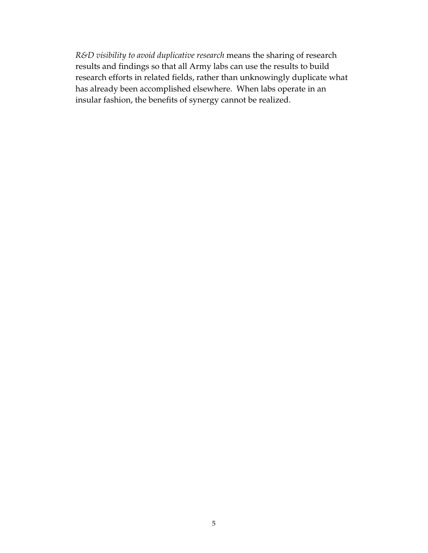*R&D visibility to avoid duplicative research* means the sharing of research results and findings so that all Army labs can use the results to build research efforts in related fields, rather than unknowingly duplicate what has already been accomplished elsewhere. When labs operate in an insular fashion, the benefits of synergy cannot be realized.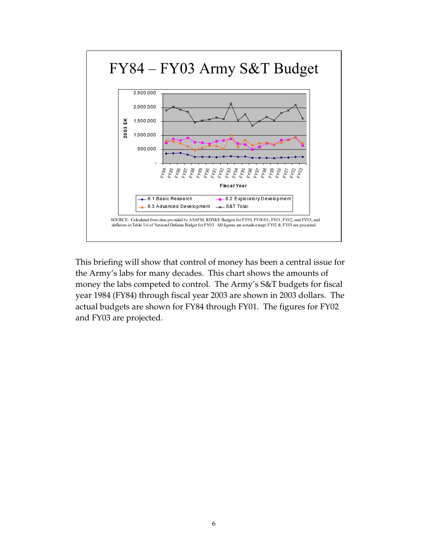

This briefing will show that control of money has been a central issue for the Army's labs for many decades. This chart shows the amounts of money the labs competed to control. The Army's S&T budgets for fiscal year 1984 (FY84) through fiscal year 2003 are shown in 2003 dollars. The actual budgets are shown for FY84 through FY01. The figures for FY02 and FY03 are projected.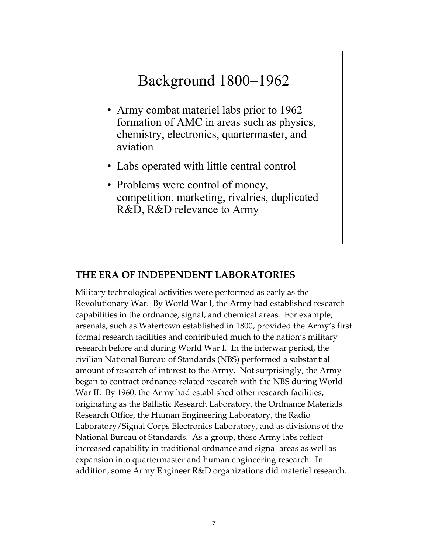

### **THE ERA OF INDEPENDENT LABORATORIES**

Military technological activities were performed as early as the Revolutionary War. By World War I, the Army had established research capabilities in the ordnance, signal, and chemical areas. For example, arsenals, such as Watertown established in 1800, provided the Army's first formal research facilities and contributed much to the nation's military research before and during World War I. In the interwar period, the civilian National Bureau of Standards (NBS) performed a substantial amount of research of interest to the Army. Not surprisingly, the Army began to contract ordnance-related research with the NBS during World War II. By 1960, the Army had established other research facilities, originating as the Ballistic Research Laboratory, the Ordnance Materials Research Office, the Human Engineering Laboratory, the Radio Laboratory/Signal Corps Electronics Laboratory, and as divisions of the National Bureau of Standards. As a group, these Army labs reflect increased capability in traditional ordnance and signal areas as well as expansion into quartermaster and human engineering research. In addition, some Army Engineer R&D organizations did materiel research.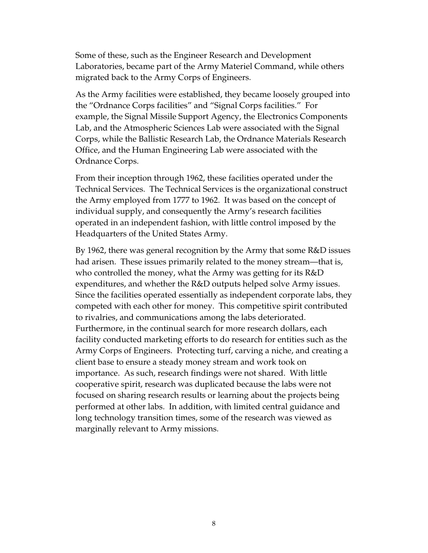Some of these, such as the Engineer Research and Development Laboratories, became part of the Army Materiel Command, while others migrated back to the Army Corps of Engineers.

As the Army facilities were established, they became loosely grouped into the "Ordnance Corps facilities" and "Signal Corps facilities." For example, the Signal Missile Support Agency, the Electronics Components Lab, and the Atmospheric Sciences Lab were associated with the Signal Corps, while the Ballistic Research Lab, the Ordnance Materials Research Office, and the Human Engineering Lab were associated with the Ordnance Corps.

From their inception through 1962, these facilities operated under the Technical Services. The Technical Services is the organizational construct the Army employed from 1777 to 1962. It was based on the concept of individual supply, and consequently the Army's research facilities operated in an independent fashion, with little control imposed by the Headquarters of the United States Army.

By 1962, there was general recognition by the Army that some R&D issues had arisen. These issues primarily related to the money stream—that is, who controlled the money, what the Army was getting for its R&D expenditures, and whether the R&D outputs helped solve Army issues. Since the facilities operated essentially as independent corporate labs, they competed with each other for money. This competitive spirit contributed to rivalries, and communications among the labs deteriorated. Furthermore, in the continual search for more research dollars, each facility conducted marketing efforts to do research for entities such as the Army Corps of Engineers. Protecting turf, carving a niche, and creating a client base to ensure a steady money stream and work took on importance. As such, research findings were not shared. With little cooperative spirit, research was duplicated because the labs were not focused on sharing research results or learning about the projects being performed at other labs. In addition, with limited central guidance and long technology transition times, some of the research was viewed as marginally relevant to Army missions.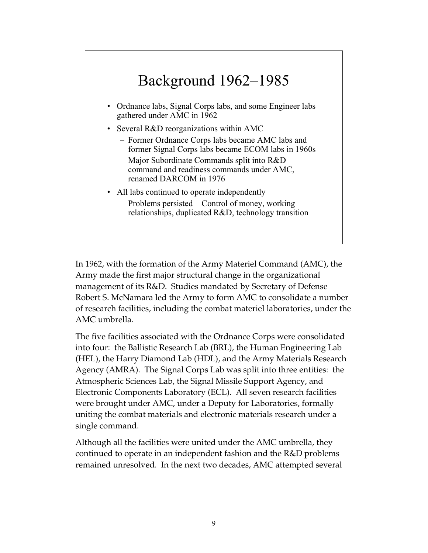

In 1962, with the formation of the Army Materiel Command (AMC), the Army made the first major structural change in the organizational management of its R&D. Studies mandated by Secretary of Defense Robert S. McNamara led the Army to form AMC to consolidate a number of research facilities, including the combat materiel laboratories, under the AMC umbrella.

The five facilities associated with the Ordnance Corps were consolidated into four: the Ballistic Research Lab (BRL), the Human Engineering Lab (HEL), the Harry Diamond Lab (HDL), and the Army Materials Research Agency (AMRA). The Signal Corps Lab was split into three entities: the Atmospheric Sciences Lab, the Signal Missile Support Agency, and Electronic Components Laboratory (ECL). All seven research facilities were brought under AMC, under a Deputy for Laboratories, formally uniting the combat materials and electronic materials research under a single command.

Although all the facilities were united under the AMC umbrella, they continued to operate in an independent fashion and the R&D problems remained unresolved. In the next two decades, AMC attempted several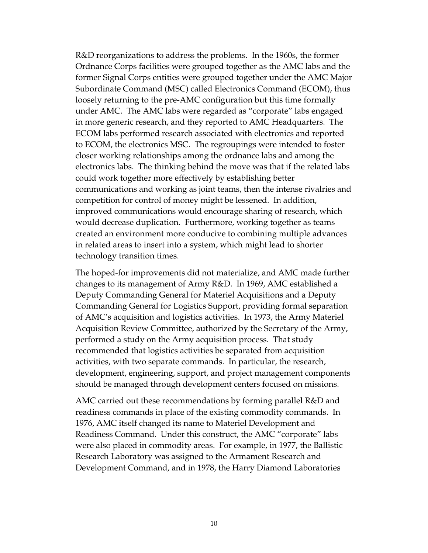R&D reorganizations to address the problems. In the 1960s, the former Ordnance Corps facilities were grouped together as the AMC labs and the former Signal Corps entities were grouped together under the AMC Major Subordinate Command (MSC) called Electronics Command (ECOM), thus loosely returning to the pre-AMC configuration but this time formally under AMC. The AMC labs were regarded as "corporate" labs engaged in more generic research, and they reported to AMC Headquarters. The ECOM labs performed research associated with electronics and reported to ECOM, the electronics MSC. The regroupings were intended to foster closer working relationships among the ordnance labs and among the electronics labs. The thinking behind the move was that if the related labs could work together more effectively by establishing better communications and working as joint teams, then the intense rivalries and competition for control of money might be lessened. In addition, improved communications would encourage sharing of research, which would decrease duplication. Furthermore, working together as teams created an environment more conducive to combining multiple advances in related areas to insert into a system, which might lead to shorter technology transition times.

The hoped-for improvements did not materialize, and AMC made further changes to its management of Army R&D. In 1969, AMC established a Deputy Commanding General for Materiel Acquisitions and a Deputy Commanding General for Logistics Support, providing formal separation of AMC's acquisition and logistics activities. In 1973, the Army Materiel Acquisition Review Committee, authorized by the Secretary of the Army, performed a study on the Army acquisition process. That study recommended that logistics activities be separated from acquisition activities, with two separate commands. In particular, the research, development, engineering, support, and project management components should be managed through development centers focused on missions.

AMC carried out these recommendations by forming parallel R&D and readiness commands in place of the existing commodity commands. In 1976, AMC itself changed its name to Materiel Development and Readiness Command. Under this construct, the AMC "corporate" labs were also placed in commodity areas. For example, in 1977, the Ballistic Research Laboratory was assigned to the Armament Research and Development Command, and in 1978, the Harry Diamond Laboratories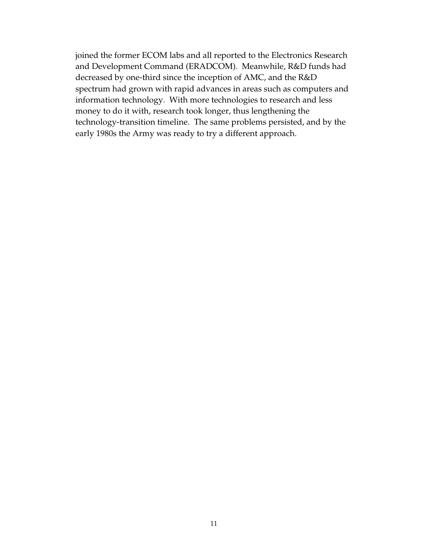joined the former ECOM labs and all reported to the Electronics Research and Development Command (ERADCOM). Meanwhile, R&D funds had decreased by one-third since the inception of AMC, and the R&D spectrum had grown with rapid advances in areas such as computers and information technology. With more technologies to research and less money to do it with, research took longer, thus lengthening the technology-transition timeline. The same problems persisted, and by the early 1980s the Army was ready to try a different approach.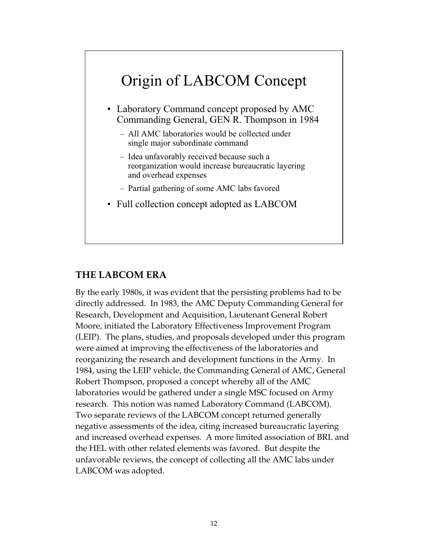# Origin of LABCOM Concept

- Laboratory Command concept proposed by AMC Commanding General, GEN R. Thompson in 1984
	- All AMC laboratories would be collected under single major subordinate command
	- Idea unfavorably received because such a reorganization would increase bureaucratic layering and overhead expenses
	- Partial gathering of some AMC labs favored
- Full collection concept adopted as LABCOM

### **THE LABCOM ERA**

By the early 1980s, it was evident that the persisting problems had to be directly addressed. In 1983, the AMC Deputy Commanding General for Research, Development and Acquisition, Lieutenant General Robert Moore, initiated the Laboratory Effectiveness Improvement Program (LEIP). The plans, studies, and proposals developed under this program were aimed at improving the effectiveness of the laboratories and reorganizing the research and development functions in the Army. In 1984, using the LEIP vehicle, the Commanding General of AMC, General Robert Thompson, proposed a concept whereby all of the AMC laboratories would be gathered under a single MSC focused on Army research. This notion was named Laboratory Command (LABCOM). Two separate reviews of the LABCOM concept returned generally negative assessments of the idea, citing increased bureaucratic layering and increased overhead expenses. A more limited association of BRL and the HEL with other related elements was favored. But despite the unfavorable reviews, the concept of collecting all the AMC labs under LABCOM was adopted.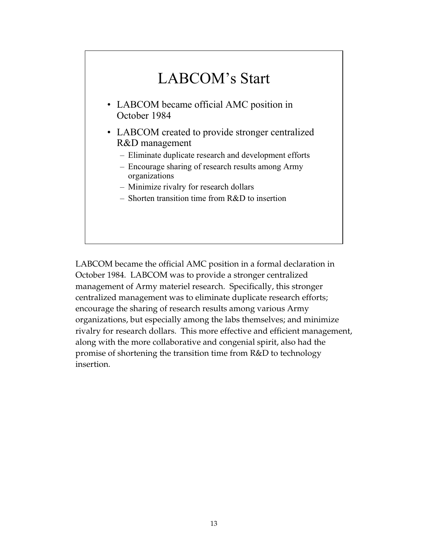

LABCOM became the official AMC position in a formal declaration in October 1984. LABCOM was to provide a stronger centralized management of Army materiel research. Specifically, this stronger centralized management was to eliminate duplicate research efforts; encourage the sharing of research results among various Army organizations, but especially among the labs themselves; and minimize rivalry for research dollars. This more effective and efficient management, along with the more collaborative and congenial spirit, also had the promise of shortening the transition time from R&D to technology insertion.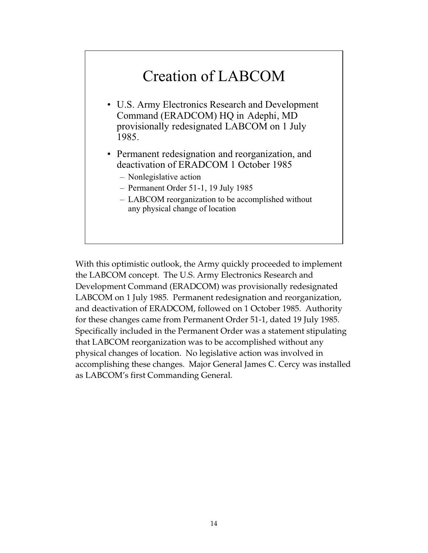## Creation of LABCOM

- U.S. Army Electronics Research and Development Command (ERADCOM) HQ in Adephi, MD provisionally redesignated LABCOM on 1 July 1985.
- Permanent redesignation and reorganization, and deactivation of ERADCOM 1 October 1985
	- Nonlegislative action
	- Permanent Order 51-1, 19 July 1985
	- LABCOM reorganization to be accomplished without any physical change of location

With this optimistic outlook, the Army quickly proceeded to implement the LABCOM concept. The U.S. Army Electronics Research and Development Command (ERADCOM) was provisionally redesignated LABCOM on 1 July 1985. Permanent redesignation and reorganization, and deactivation of ERADCOM, followed on 1 October 1985. Authority for these changes came from Permanent Order 51-1, dated 19 July 1985. Specifically included in the Permanent Order was a statement stipulating that LABCOM reorganization was to be accomplished without any physical changes of location. No legislative action was involved in accomplishing these changes. Major General James C. Cercy was installed as LABCOM's first Commanding General.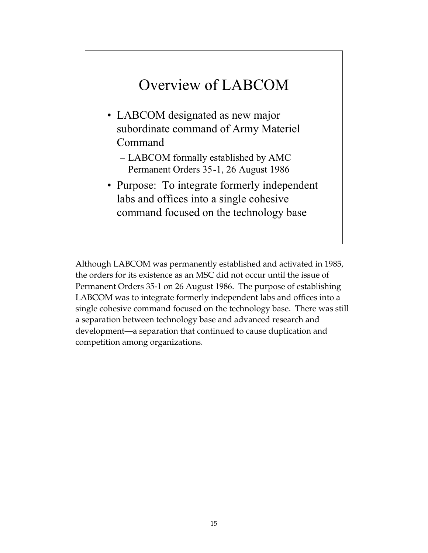### Overview of LABCOM

- LABCOM designated as new major subordinate command of Army Materiel Command
	- LABCOM formally established by AMC Permanent Orders 35-1, 26 August 1986
- Purpose: To integrate formerly independent labs and offices into a single cohesive command focused on the technology base

Although LABCOM was permanently established and activated in 1985, the orders for its existence as an MSC did not occur until the issue of Permanent Orders 35-1 on 26 August 1986. The purpose of establishing LABCOM was to integrate formerly independent labs and offices into a single cohesive command focused on the technology base. There was still a separation between technology base and advanced research and development—a separation that continued to cause duplication and competition among organizations.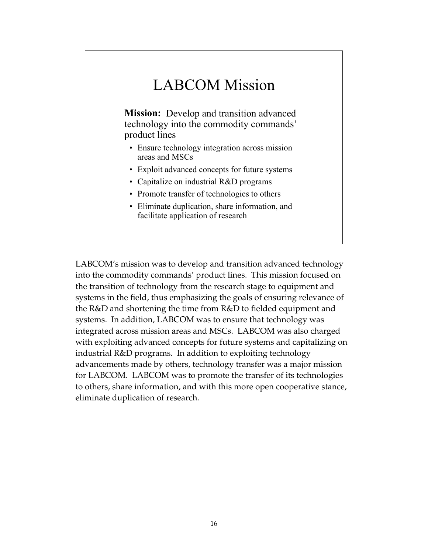### LABCOM Mission

Mission: Develop and transition advanced technology into the commodity commands' product lines

- Ensure technology integration across mission areas and MSCs
- Exploit advanced concepts for future systems
- Capitalize on industrial R&D programs
- Promote transfer of technologies to others
- Eliminate duplication, share information, and facilitate application of research

LABCOM's mission was to develop and transition advanced technology into the commodity commands' product lines. This mission focused on the transition of technology from the research stage to equipment and systems in the field, thus emphasizing the goals of ensuring relevance of the R&D and shortening the time from R&D to fielded equipment and systems. In addition, LABCOM was to ensure that technology was integrated across mission areas and MSCs. LABCOM was also charged with exploiting advanced concepts for future systems and capitalizing on industrial R&D programs. In addition to exploiting technology advancements made by others, technology transfer was a major mission for LABCOM. LABCOM was to promote the transfer of its technologies to others, share information, and with this more open cooperative stance, eliminate duplication of research.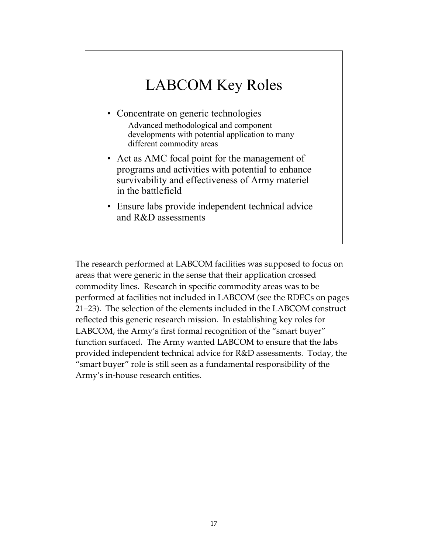### LABCOM Key Roles • Concentrate on generic technologies - Advanced methodological and component developments with potential application to many different commodity areas • Act as AMC focal point for the management of programs and activities with potential to enhance survivability and effectiveness of Army materiel in the battlefield • Ensure labs provide independent technical advice and R&D assessments

The research performed at LABCOM facilities was supposed to focus on areas that were generic in the sense that their application crossed commodity lines. Research in specific commodity areas was to be performed at facilities not included in LABCOM (see the RDECs on pages 21–23). The selection of the elements included in the LABCOM construct reflected this generic research mission. In establishing key roles for LABCOM, the Army's first formal recognition of the "smart buyer" function surfaced. The Army wanted LABCOM to ensure that the labs provided independent technical advice for R&D assessments. Today, the "smart buyer" role is still seen as a fundamental responsibility of the Army's in-house research entities.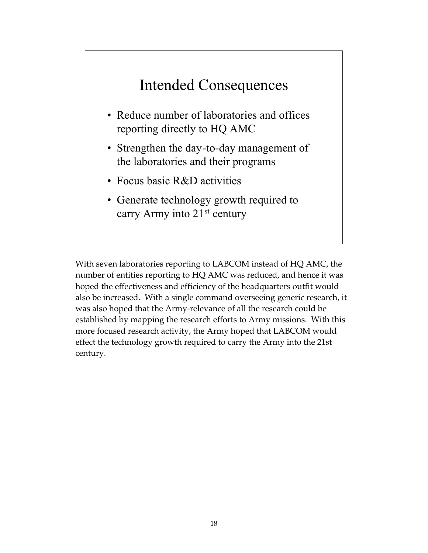### **Intended Consequences**

- Reduce number of laboratories and offices reporting directly to HQ AMC
- Strengthen the day-to-day management of the laboratories and their programs
- Focus basic R&D activities
- Generate technology growth required to carry Army into 21<sup>st</sup> century

With seven laboratories reporting to LABCOM instead of HQ AMC, the number of entities reporting to HQ AMC was reduced, and hence it was hoped the effectiveness and efficiency of the headquarters outfit would also be increased. With a single command overseeing generic research, it was also hoped that the Army-relevance of all the research could be established by mapping the research efforts to Army missions. With this more focused research activity, the Army hoped that LABCOM would effect the technology growth required to carry the Army into the 21st century.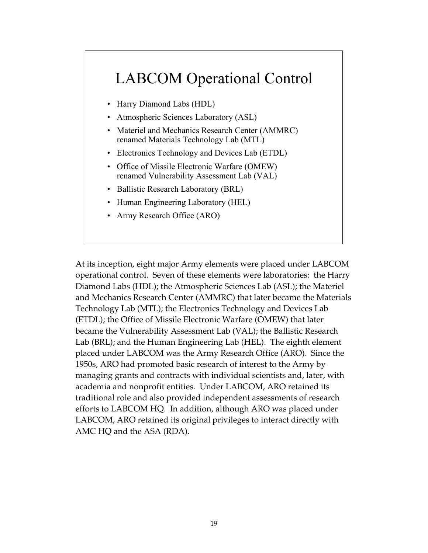## LABCOM Operational Control

- Harry Diamond Labs (HDL)
- Atmospheric Sciences Laboratory (ASL)
- Materiel and Mechanics Research Center (AMMRC) renamed Materials Technology Lab (MTL)
- Electronics Technology and Devices Lab (ETDL)
- Office of Missile Electronic Warfare (OMEW) renamed Vulnerability Assessment Lab (VAL)
- · Ballistic Research Laboratory (BRL)
- Human Engineering Laboratory (HEL)
- Army Research Office (ARO)

At its inception, eight major Army elements were placed under LABCOM operational control. Seven of these elements were laboratories: the Harry Diamond Labs (HDL); the Atmospheric Sciences Lab (ASL); the Materiel and Mechanics Research Center (AMMRC) that later became the Materials Technology Lab (MTL); the Electronics Technology and Devices Lab (ETDL); the Office of Missile Electronic Warfare (OMEW) that later became the Vulnerability Assessment Lab (VAL); the Ballistic Research Lab (BRL); and the Human Engineering Lab (HEL). The eighth element placed under LABCOM was the Army Research Office (ARO). Since the 1950s, ARO had promoted basic research of interest to the Army by managing grants and contracts with individual scientists and, later, with academia and nonprofit entities. Under LABCOM, ARO retained its traditional role and also provided independent assessments of research efforts to LABCOM HQ. In addition, although ARO was placed under LABCOM, ARO retained its original privileges to interact directly with AMC HQ and the ASA (RDA).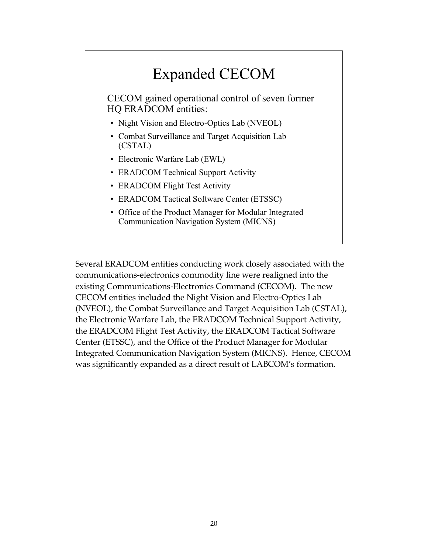## Expanded CECOM

CECOM gained operational control of seven former HQ ERADCOM entities:

- Night Vision and Electro-Optics Lab (NVEOL)
- Combat Surveillance and Target Acquisition Lab  $(CSTAL)$
- Electronic Warfare Lab (EWL)
- ERADCOM Technical Support Activity
- ERADCOM Flight Test Activity
- ERADCOM Tactical Software Center (ETSSC)
- Office of the Product Manager for Modular Integrated Communication Navigation System (MICNS)

Several ERADCOM entities conducting work closely associated with the communications-electronics commodity line were realigned into the existing Communications-Electronics Command (CECOM). The new CECOM entities included the Night Vision and Electro-Optics Lab (NVEOL), the Combat Surveillance and Target Acquisition Lab (CSTAL), the Electronic Warfare Lab, the ERADCOM Technical Support Activity, the ERADCOM Flight Test Activity, the ERADCOM Tactical Software Center (ETSSC), and the Office of the Product Manager for Modular Integrated Communication Navigation System (MICNS). Hence, CECOM was significantly expanded as a direct result of LABCOM's formation.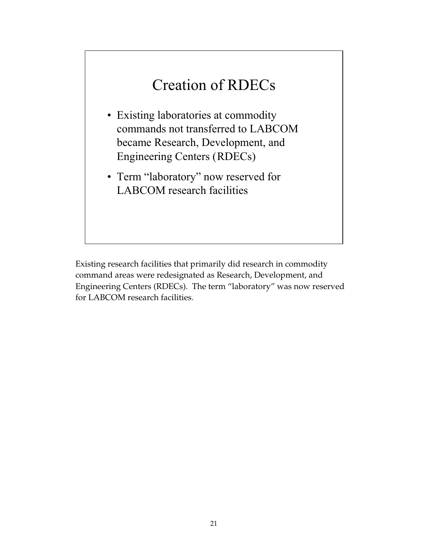## **Creation of RDECs**

- Existing laboratories at commodity commands not transferred to LABCOM became Research, Development, and Engineering Centers (RDECs)
- Term "laboratory" now reserved for LABCOM research facilities

Existing research facilities that primarily did research in commodity command areas were redesignated as Research, Development, and Engineering Centers (RDECs). The term "laboratory" was now reserved for LABCOM research facilities.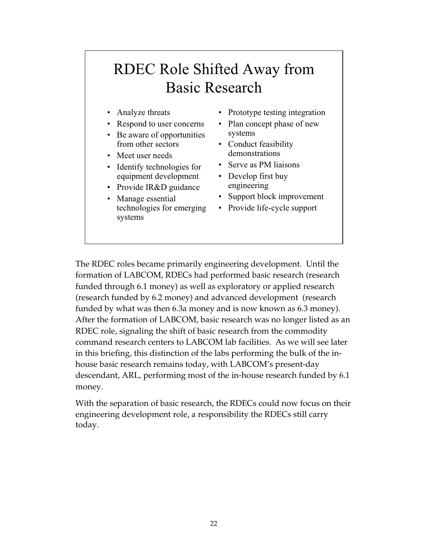## RDEC Role Shifted Away from **Basic Research**

- Analyze threats
- Respond to user concerns
- Be aware of opportunities from other sectors
- Meet user needs
- Identify technologies for equipment development
- · Provide IR&D guidance
- Manage essential technologies for emerging systems
- Prototype testing integration
- Plan concept phase of new systems
- Conduct feasibility demonstrations
- Serve as PM liaisons
- Develop first buy engineering
- Support block improvement
- Provide life-cycle support

The RDEC roles became primarily engineering development. Until the formation of LABCOM, RDECs had performed basic research (research funded through 6.1 money) as well as exploratory or applied research (research funded by 6.2 money) and advanced development (research funded by what was then 6.3a money and is now known as 6.3 money). After the formation of LABCOM, basic research was no longer listed as an RDEC role, signaling the shift of basic research from the commodity command research centers to LABCOM lab facilities. As we will see later in this briefing, this distinction of the labs performing the bulk of the inhouse basic research remains today, with LABCOM's present-day descendant, ARL, performing most of the in-house research funded by 6.1 money.

With the separation of basic research, the RDECs could now focus on their engineering development role, a responsibility the RDECs still carry today.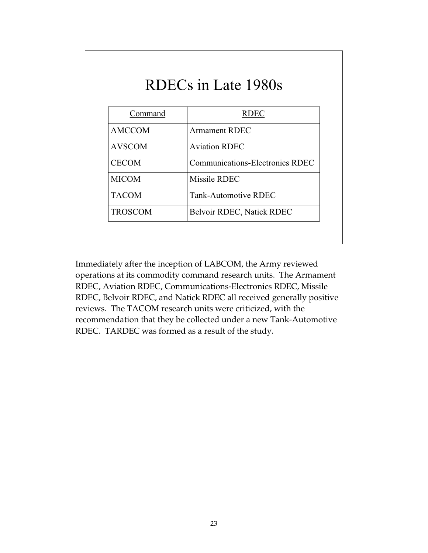|                | RDECs in Late 1980s             |
|----------------|---------------------------------|
| Command        | <b>RDEC</b>                     |
| <b>AMCCOM</b>  | <b>Armament RDEC</b>            |
| <b>AVSCOM</b>  | <b>Aviation RDEC</b>            |
| <b>CECOM</b>   | Communications-Electronics RDEC |
| <b>MICOM</b>   | Missile RDEC                    |
| <b>TACOM</b>   | Tank-Automotive RDEC            |
| <b>TROSCOM</b> | Belvoir RDEC, Natick RDEC       |

Immediately after the inception of LABCOM, the Army reviewed operations at its commodity command research units. The Armament RDEC, Aviation RDEC, Communications-Electronics RDEC, Missile RDEC, Belvoir RDEC, and Natick RDEC all received generally positive reviews. The TACOM research units were criticized, with the recommendation that they be collected under a new Tank-Automotive RDEC. TARDEC was formed as a result of the study.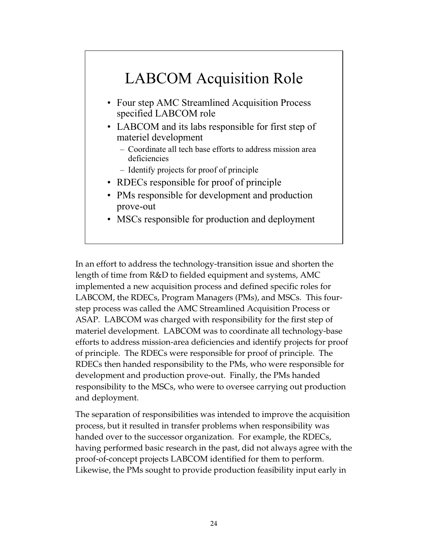### LABCOM Acquisition Role

- Four step AMC Streamlined Acquisition Process specified LABCOM role
- LABCOM and its labs responsible for first step of materiel development
	- Coordinate all tech base efforts to address mission area deficiencies
	- Identify projects for proof of principle
- RDECs responsible for proof of principle
- PMs responsible for development and production prove-out
- MSCs responsible for production and deployment

In an effort to address the technology-transition issue and shorten the length of time from R&D to fielded equipment and systems, AMC implemented a new acquisition process and defined specific roles for LABCOM, the RDECs, Program Managers (PMs), and MSCs. This fourstep process was called the AMC Streamlined Acquisition Process or ASAP. LABCOM was charged with responsibility for the first step of materiel development. LABCOM was to coordinate all technology-base efforts to address mission-area deficiencies and identify projects for proof of principle. The RDECs were responsible for proof of principle. The RDECs then handed responsibility to the PMs, who were responsible for development and production prove-out. Finally, the PMs handed responsibility to the MSCs, who were to oversee carrying out production and deployment.

The separation of responsibilities was intended to improve the acquisition process, but it resulted in transfer problems when responsibility was handed over to the successor organization. For example, the RDECs, having performed basic research in the past, did not always agree with the proof-of-concept projects LABCOM identified for them to perform. Likewise, the PMs sought to provide production feasibility input early in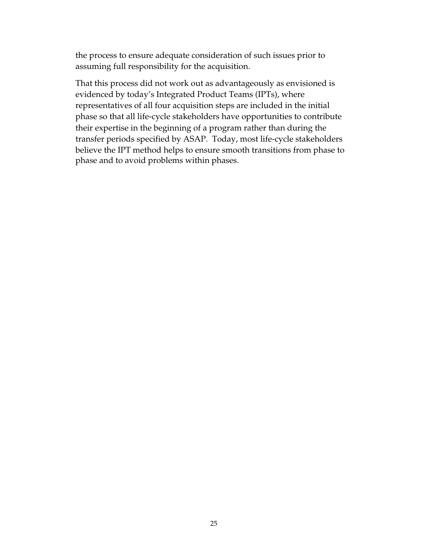the process to ensure adequate consideration of such issues prior to assuming full responsibility for the acquisition.

That this process did not work out as advantageously as envisioned is evidenced by today's Integrated Product Teams (IPTs), where representatives of all four acquisition steps are included in the initial phase so that all life-cycle stakeholders have opportunities to contribute their expertise in the beginning of a program rather than during the transfer periods specified by ASAP. Today, most life-cycle stakeholders believe the IPT method helps to ensure smooth transitions from phase to phase and to avoid problems within phases.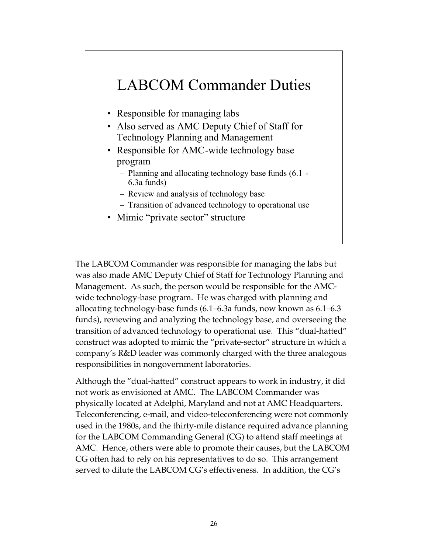#### LABCOM Commander Duties

- Responsible for managing labs
- Also served as AMC Deputy Chief of Staff for Technology Planning and Management
- Responsible for AMC-wide technology base program
	- Planning and allocating technology base funds (6.1 - $6.3a$  funds)
	- Review and analysis of technology base
	- Transition of advanced technology to operational use
- Mimic "private sector" structure

The LABCOM Commander was responsible for managing the labs but was also made AMC Deputy Chief of Staff for Technology Planning and Management. As such, the person would be responsible for the AMCwide technology-base program. He was charged with planning and allocating technology-base funds (6.1–6.3a funds, now known as 6.1–6.3 funds), reviewing and analyzing the technology base, and overseeing the transition of advanced technology to operational use. This "dual-hatted" construct was adopted to mimic the "private-sector" structure in which a company's R&D leader was commonly charged with the three analogous responsibilities in nongovernment laboratories.

Although the "dual-hatted" construct appears to work in industry, it did not work as envisioned at AMC. The LABCOM Commander was physically located at Adelphi, Maryland and not at AMC Headquarters. Teleconferencing, e-mail, and video-teleconferencing were not commonly used in the 1980s, and the thirty-mile distance required advance planning for the LABCOM Commanding General (CG) to attend staff meetings at AMC. Hence, others were able to promote their causes, but the LABCOM CG often had to rely on his representatives to do so. This arrangement served to dilute the LABCOM CG's effectiveness. In addition, the CG's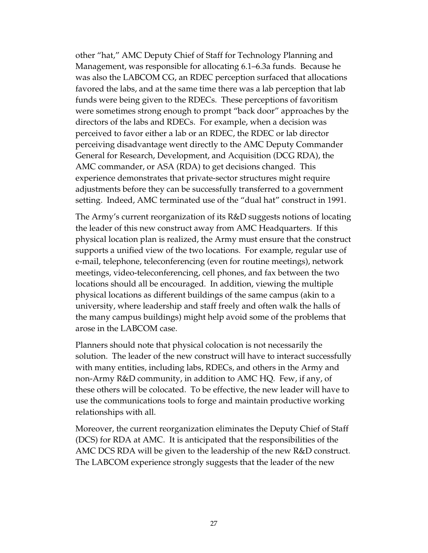other "hat," AMC Deputy Chief of Staff for Technology Planning and Management, was responsible for allocating 6.1–6.3a funds. Because he was also the LABCOM CG, an RDEC perception surfaced that allocations favored the labs, and at the same time there was a lab perception that lab funds were being given to the RDECs. These perceptions of favoritism were sometimes strong enough to prompt "back door" approaches by the directors of the labs and RDECs. For example, when a decision was perceived to favor either a lab or an RDEC, the RDEC or lab director perceiving disadvantage went directly to the AMC Deputy Commander General for Research, Development, and Acquisition (DCG RDA), the AMC commander, or ASA (RDA) to get decisions changed. This experience demonstrates that private-sector structures might require adjustments before they can be successfully transferred to a government setting. Indeed, AMC terminated use of the "dual hat" construct in 1991.

The Army's current reorganization of its R&D suggests notions of locating the leader of this new construct away from AMC Headquarters. If this physical location plan is realized, the Army must ensure that the construct supports a unified view of the two locations. For example, regular use of e-mail, telephone, teleconferencing (even for routine meetings), network meetings, video-teleconferencing, cell phones, and fax between the two locations should all be encouraged. In addition, viewing the multiple physical locations as different buildings of the same campus (akin to a university, where leadership and staff freely and often walk the halls of the many campus buildings) might help avoid some of the problems that arose in the LABCOM case.

Planners should note that physical colocation is not necessarily the solution. The leader of the new construct will have to interact successfully with many entities, including labs, RDECs, and others in the Army and non-Army R&D community, in addition to AMC HQ. Few, if any, of these others will be colocated. To be effective, the new leader will have to use the communications tools to forge and maintain productive working relationships with all.

Moreover, the current reorganization eliminates the Deputy Chief of Staff (DCS) for RDA at AMC. It is anticipated that the responsibilities of the AMC DCS RDA will be given to the leadership of the new R&D construct. The LABCOM experience strongly suggests that the leader of the new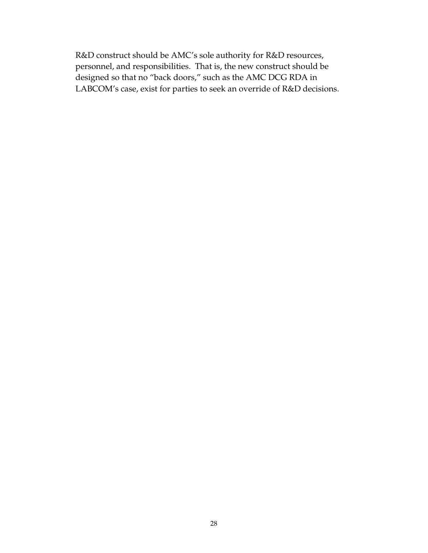R&D construct should be AMC's sole authority for R&D resources, personnel, and responsibilities. That is, the new construct should be designed so that no "back doors," such as the AMC DCG RDA in LABCOM's case, exist for parties to seek an override of R&D decisions.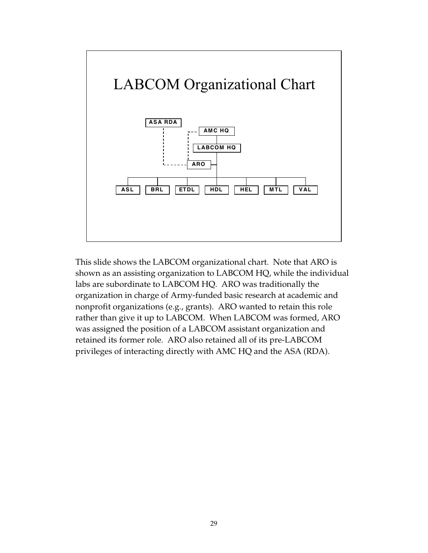

This slide shows the LABCOM organizational chart. Note that ARO is shown as an assisting organization to LABCOM HQ, while the individual labs are subordinate to LABCOM HQ. ARO was traditionally the organization in charge of Army-funded basic research at academic and nonprofit organizations (e.g., grants). ARO wanted to retain this role rather than give it up to LABCOM. When LABCOM was formed, ARO was assigned the position of a LABCOM assistant organization and retained its former role. ARO also retained all of its pre-LABCOM privileges of interacting directly with AMC HQ and the ASA (RDA).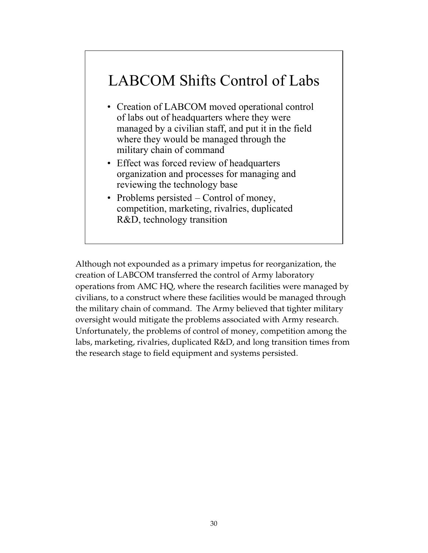#### LABCOM Shifts Control of Labs

- Creation of LABCOM moved operational control of labs out of headquarters where they were managed by a civilian staff, and put it in the field where they would be managed through the military chain of command
- Effect was forced review of headquarters organization and processes for managing and reviewing the technology base
- Problems persisted Control of money, competition, marketing, rivalries, duplicated R&D, technology transition

Although not expounded as a primary impetus for reorganization, the creation of LABCOM transferred the control of Army laboratory operations from AMC HQ, where the research facilities were managed by civilians, to a construct where these facilities would be managed through the military chain of command. The Army believed that tighter military oversight would mitigate the problems associated with Army research. Unfortunately, the problems of control of money, competition among the labs, marketing, rivalries, duplicated R&D, and long transition times from the research stage to field equipment and systems persisted.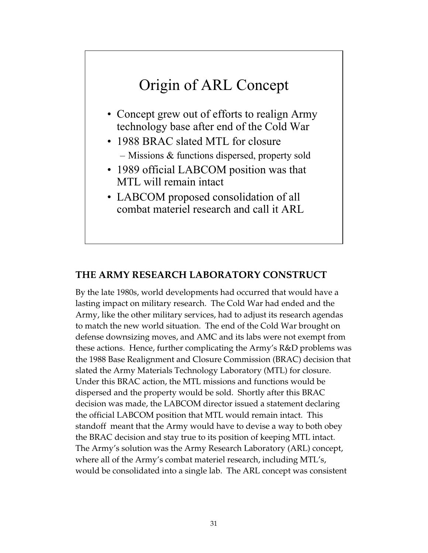### Origin of ARL Concept

- Concept grew out of efforts to realign Army technology base after end of the Cold War
- 1988 BRAC slated MTL for closure - Missions & functions dispersed, property sold
- 1989 official LABCOM position was that MTL will remain intact
- LABCOM proposed consolidation of all combat materiel research and call it ARL

#### **THE ARMY RESEARCH LABORATORY CONSTRUCT**

By the late 1980s, world developments had occurred that would have a lasting impact on military research. The Cold War had ended and the Army, like the other military services, had to adjust its research agendas to match the new world situation. The end of the Cold War brought on defense downsizing moves, and AMC and its labs were not exempt from these actions. Hence, further complicating the Army's R&D problems was the 1988 Base Realignment and Closure Commission (BRAC) decision that slated the Army Materials Technology Laboratory (MTL) for closure. Under this BRAC action, the MTL missions and functions would be dispersed and the property would be sold. Shortly after this BRAC decision was made, the LABCOM director issued a statement declaring the official LABCOM position that MTL would remain intact. This standoff meant that the Army would have to devise a way to both obey the BRAC decision and stay true to its position of keeping MTL intact. The Army's solution was the Army Research Laboratory (ARL) concept, where all of the Army's combat materiel research, including MTL's, would be consolidated into a single lab. The ARL concept was consistent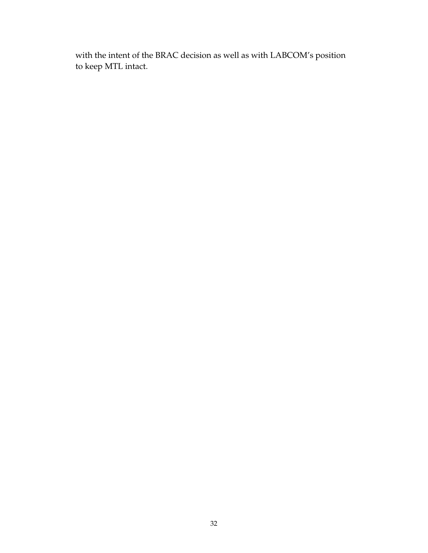with the intent of the BRAC decision as well as with LABCOM's position to keep MTL intact.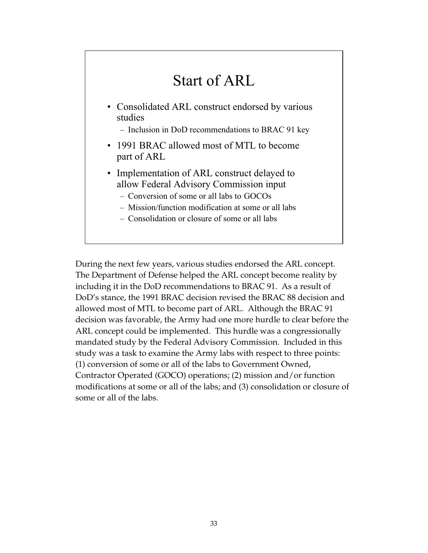#### Start of ARL • Consolidated ARL construct endorsed by various studies - Inclusion in DoD recommendations to BRAC 91 key • 1991 BRAC allowed most of MTL to become part of ARL • Implementation of ARL construct delayed to allow Federal Advisory Commission input - Conversion of some or all labs to GOCOs - Mission/function modification at some or all labs - Consolidation or closure of some or all labs

During the next few years, various studies endorsed the ARL concept. The Department of Defense helped the ARL concept become reality by including it in the DoD recommendations to BRAC 91. As a result of DoD's stance, the 1991 BRAC decision revised the BRAC 88 decision and allowed most of MTL to become part of ARL. Although the BRAC 91 decision was favorable, the Army had one more hurdle to clear before the ARL concept could be implemented. This hurdle was a congressionally mandated study by the Federal Advisory Commission. Included in this study was a task to examine the Army labs with respect to three points: (1) conversion of some or all of the labs to Government Owned, Contractor Operated (GOCO) operations; (2) mission and/or function modifications at some or all of the labs; and (3) consolidation or closure of some or all of the labs.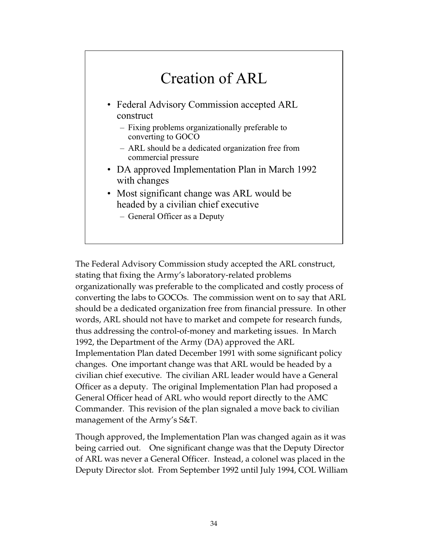

The Federal Advisory Commission study accepted the ARL construct, stating that fixing the Army's laboratory-related problems organizationally was preferable to the complicated and costly process of converting the labs to GOCOs. The commission went on to say that ARL should be a dedicated organization free from financial pressure. In other words, ARL should not have to market and compete for research funds, thus addressing the control-of-money and marketing issues. In March 1992, the Department of the Army (DA) approved the ARL Implementation Plan dated December 1991 with some significant policy changes. One important change was that ARL would be headed by a civilian chief executive. The civilian ARL leader would have a General Officer as a deputy. The original Implementation Plan had proposed a General Officer head of ARL who would report directly to the AMC Commander. This revision of the plan signaled a move back to civilian management of the Army's S&T.

Though approved, the Implementation Plan was changed again as it was being carried out. One significant change was that the Deputy Director of ARL was never a General Officer. Instead, a colonel was placed in the Deputy Director slot. From September 1992 until July 1994, COL William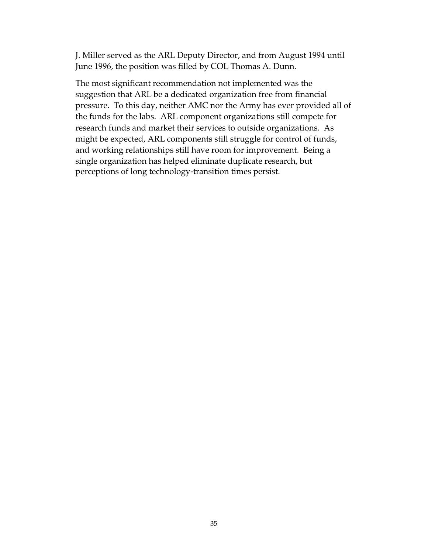J. Miller served as the ARL Deputy Director, and from August 1994 until June 1996, the position was filled by COL Thomas A. Dunn.

The most significant recommendation not implemented was the suggestion that ARL be a dedicated organization free from financial pressure. To this day, neither AMC nor the Army has ever provided all of the funds for the labs. ARL component organizations still compete for research funds and market their services to outside organizations. As might be expected, ARL components still struggle for control of funds, and working relationships still have room for improvement. Being a single organization has helped eliminate duplicate research, but perceptions of long technology-transition times persist.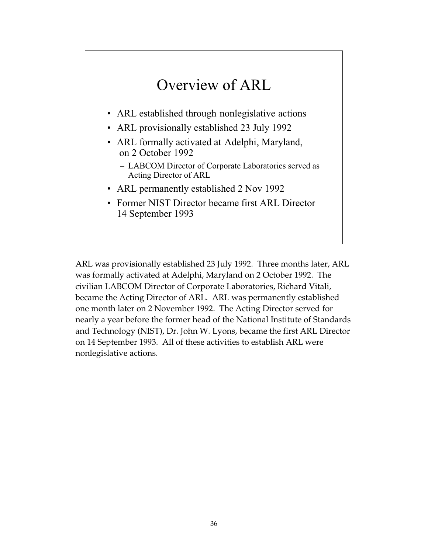# Overview of ARL

- ARL established through nonlegislative actions
- ARL provisionally established 23 July 1992
- ARL formally activated at Adelphi, Maryland, on 2 October 1992
	- LABCOM Director of Corporate Laboratories served as Acting Director of ARL
- ARL permanently established 2 Nov 1992
- Former NIST Director became first ARL Director 14 September 1993

ARL was provisionally established 23 July 1992. Three months later, ARL was formally activated at Adelphi, Maryland on 2 October 1992. The civilian LABCOM Director of Corporate Laboratories, Richard Vitali, became the Acting Director of ARL. ARL was permanently established one month later on 2 November 1992. The Acting Director served for nearly a year before the former head of the National Institute of Standards and Technology (NIST), Dr. John W. Lyons, became the first ARL Director on 14 September 1993. All of these activities to establish ARL were nonlegislative actions.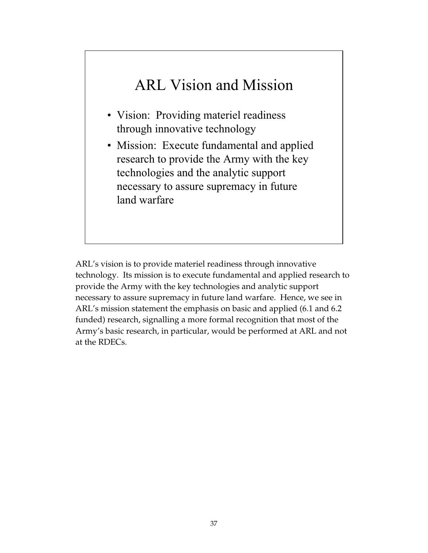#### **ARL Vision and Mission**

- Vision: Providing materiel readiness through innovative technology
- Mission: Execute fundamental and applied research to provide the Army with the key technologies and the analytic support necessary to assure supremacy in future land warfare

ARL's vision is to provide materiel readiness through innovative technology. Its mission is to execute fundamental and applied research to provide the Army with the key technologies and analytic support necessary to assure supremacy in future land warfare. Hence, we see in ARL's mission statement the emphasis on basic and applied (6.1 and 6.2 funded) research, signalling a more formal recognition that most of the Army's basic research, in particular, would be performed at ARL and not at the RDECs.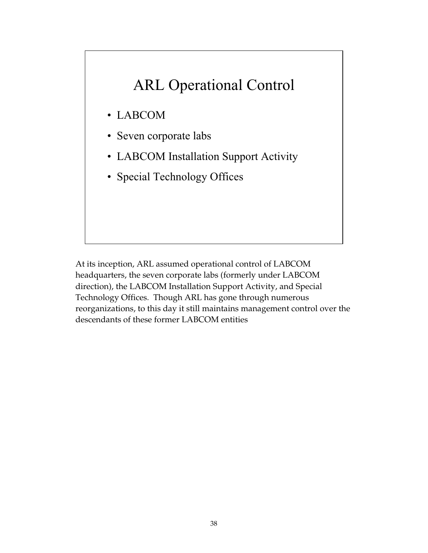### **ARL Operational Control**

- LABCOM
- Seven corporate labs
- LABCOM Installation Support Activity
- · Special Technology Offices

At its inception, ARL assumed operational control of LABCOM headquarters, the seven corporate labs (formerly under LABCOM direction), the LABCOM Installation Support Activity, and Special Technology Offices. Though ARL has gone through numerous reorganizations, to this day it still maintains management control over the descendants of these former LABCOM entities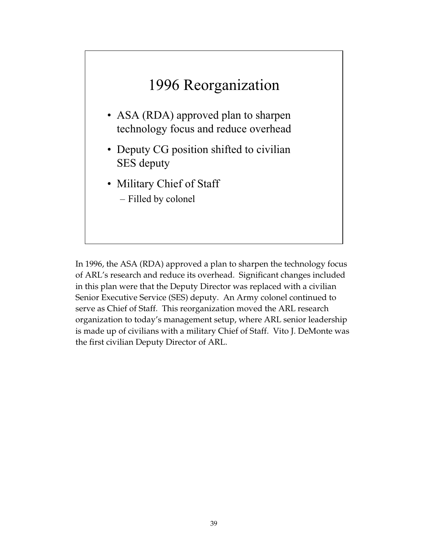

In 1996, the ASA (RDA) approved a plan to sharpen the technology focus of ARL's research and reduce its overhead. Significant changes included in this plan were that the Deputy Director was replaced with a civilian Senior Executive Service (SES) deputy. An Army colonel continued to serve as Chief of Staff. This reorganization moved the ARL research organization to today's management setup, where ARL senior leadership is made up of civilians with a military Chief of Staff. Vito J. DeMonte was the first civilian Deputy Director of ARL.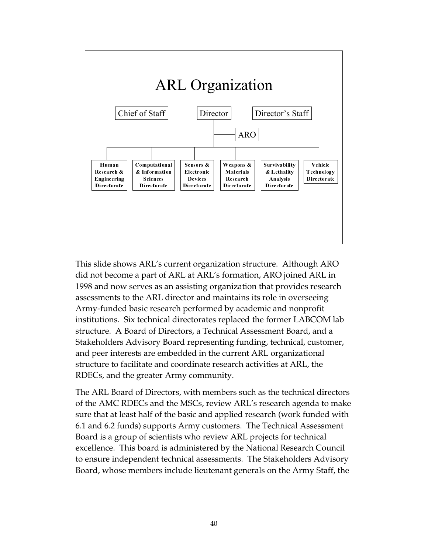

This slide shows ARL's current organization structure. Although ARO did not become a part of ARL at ARL's formation, ARO joined ARL in 1998 and now serves as an assisting organization that provides research assessments to the ARL director and maintains its role in overseeing Army-funded basic research performed by academic and nonprofit institutions. Six technical directorates replaced the former LABCOM lab structure. A Board of Directors, a Technical Assessment Board, and a Stakeholders Advisory Board representing funding, technical, customer, and peer interests are embedded in the current ARL organizational structure to facilitate and coordinate research activities at ARL, the RDECs, and the greater Army community.

The ARL Board of Directors, with members such as the technical directors of the AMC RDECs and the MSCs, review ARL's research agenda to make sure that at least half of the basic and applied research (work funded with 6.1 and 6.2 funds) supports Army customers. The Technical Assessment Board is a group of scientists who review ARL projects for technical excellence. This board is administered by the National Research Council to ensure independent technical assessments. The Stakeholders Advisory Board, whose members include lieutenant generals on the Army Staff, the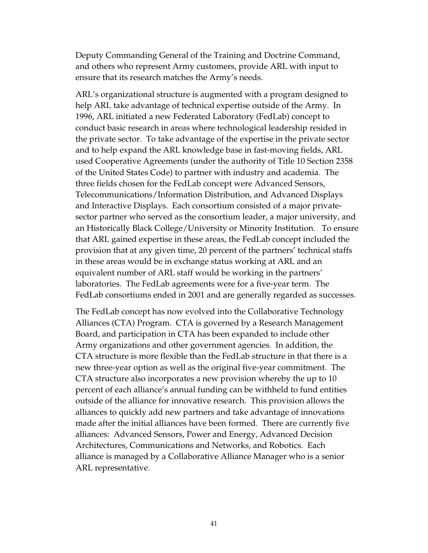Deputy Commanding General of the Training and Doctrine Command, and others who represent Army customers, provide ARL with input to ensure that its research matches the Army's needs.

ARL's organizational structure is augmented with a program designed to help ARL take advantage of technical expertise outside of the Army. In 1996, ARL initiated a new Federated Laboratory (FedLab) concept to conduct basic research in areas where technological leadership resided in the private sector. To take advantage of the expertise in the private sector and to help expand the ARL knowledge base in fast-moving fields, ARL used Cooperative Agreements (under the authority of Title 10 Section 2358 of the United States Code) to partner with industry and academia. The three fields chosen for the FedLab concept were Advanced Sensors, Telecommunications/Information Distribution, and Advanced Displays and Interactive Displays. Each consortium consisted of a major privatesector partner who served as the consortium leader, a major university, and an Historically Black College/University or Minority Institution. To ensure that ARL gained expertise in these areas, the FedLab concept included the provision that at any given time, 20 percent of the partners' technical staffs in these areas would be in exchange status working at ARL and an equivalent number of ARL staff would be working in the partners' laboratories. The FedLab agreements were for a five-year term. The FedLab consortiums ended in 2001 and are generally regarded as successes.

The FedLab concept has now evolved into the Collaborative Technology Alliances (CTA) Program. CTA is governed by a Research Management Board, and participation in CTA has been expanded to include other Army organizations and other government agencies. In addition, the CTA structure is more flexible than the FedLab structure in that there is a new three-year option as well as the original five-year commitment. The CTA structure also incorporates a new provision whereby the up to 10 percent of each alliance's annual funding can be withheld to fund entities outside of the alliance for innovative research. This provision allows the alliances to quickly add new partners and take advantage of innovations made after the initial alliances have been formed. There are currently five alliances: Advanced Sensors, Power and Energy, Advanced Decision Architectures, Communications and Networks, and Robotics. Each alliance is managed by a Collaborative Alliance Manager who is a senior ARL representative.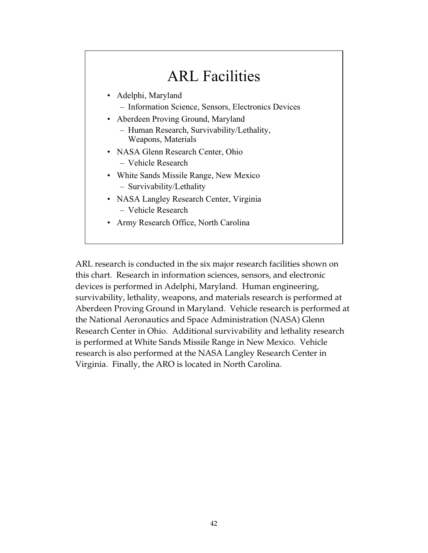#### **ARL** Facilities • Adelphi, Maryland - Information Science, Sensors, Electronics Devices • Aberdeen Proving Ground, Maryland - Human Research, Survivability/Lethality, Weapons, Materials · NASA Glenn Research Center, Ohio - Vehicle Research • White Sands Missile Range, New Mexico - Survivability/Lethality • NASA Langley Research Center, Virginia - Vehicle Research • Army Research Office, North Carolina

ARL research is conducted in the six major research facilities shown on this chart. Research in information sciences, sensors, and electronic devices is performed in Adelphi, Maryland. Human engineering, survivability, lethality, weapons, and materials research is performed at Aberdeen Proving Ground in Maryland. Vehicle research is performed at the National Aeronautics and Space Administration (NASA) Glenn Research Center in Ohio. Additional survivability and lethality research is performed at White Sands Missile Range in New Mexico. Vehicle research is also performed at the NASA Langley Research Center in Virginia. Finally, the ARO is located in North Carolina.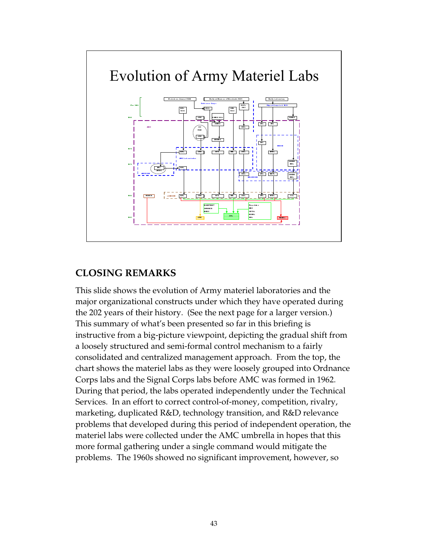

#### **CLOSING REMARKS**

This slide shows the evolution of Army materiel laboratories and the major organizational constructs under which they have operated during the 202 years of their history. (See the next page for a larger version.) This summary of what's been presented so far in this briefing is instructive from a big-picture viewpoint, depicting the gradual shift from a loosely structured and semi-formal control mechanism to a fairly consolidated and centralized management approach. From the top, the chart shows the materiel labs as they were loosely grouped into Ordnance Corps labs and the Signal Corps labs before AMC was formed in 1962. During that period, the labs operated independently under the Technical Services. In an effort to correct control-of-money, competition, rivalry, marketing, duplicated R&D, technology transition, and R&D relevance problems that developed during this period of independent operation, the materiel labs were collected under the AMC umbrella in hopes that this more formal gathering under a single command would mitigate the problems. The 1960s showed no significant improvement, however, so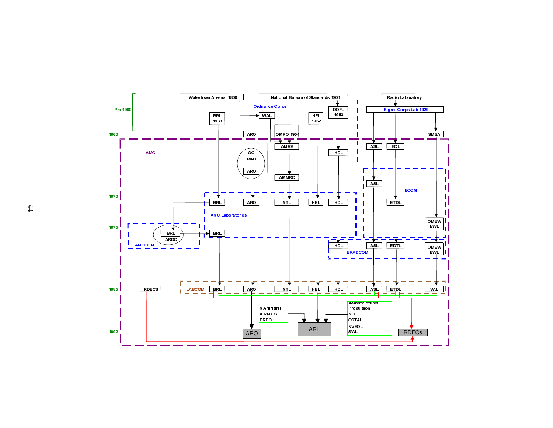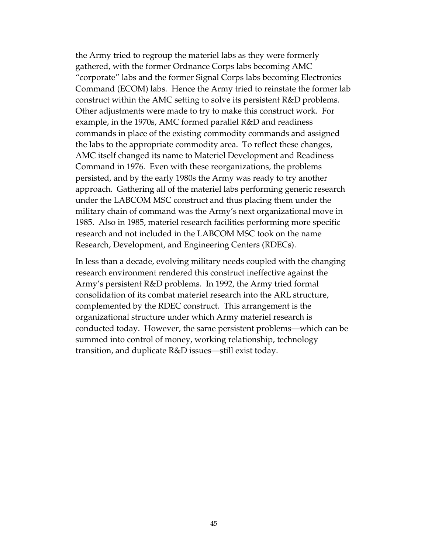the Army tried to regroup the materiel labs as they were formerly gathered, with the former Ordnance Corps labs becoming AMC "corporate" labs and the former Signal Corps labs becoming Electronics Command (ECOM) labs. Hence the Army tried to reinstate the former lab construct within the AMC setting to solve its persistent R&D problems. Other adjustments were made to try to make this construct work. For example, in the 1970s, AMC formed parallel R&D and readiness commands in place of the existing commodity commands and assigned the labs to the appropriate commodity area. To reflect these changes, AMC itself changed its name to Materiel Development and Readiness Command in 1976. Even with these reorganizations, the problems persisted, and by the early 1980s the Army was ready to try another approach. Gathering all of the materiel labs performing generic research under the LABCOM MSC construct and thus placing them under the military chain of command was the Army's next organizational move in 1985. Also in 1985, materiel research facilities performing more specific research and not included in the LABCOM MSC took on the name Research, Development, and Engineering Centers (RDECs).

In less than a decade, evolving military needs coupled with the changing research environment rendered this construct ineffective against the Army's persistent R&D problems. In 1992, the Army tried formal consolidation of its combat materiel research into the ARL structure, complemented by the RDEC construct. This arrangement is the organizational structure under which Army materiel research is conducted today. However, the same persistent problems—which can be summed into control of money, working relationship, technology transition, and duplicate R&D issues—still exist today.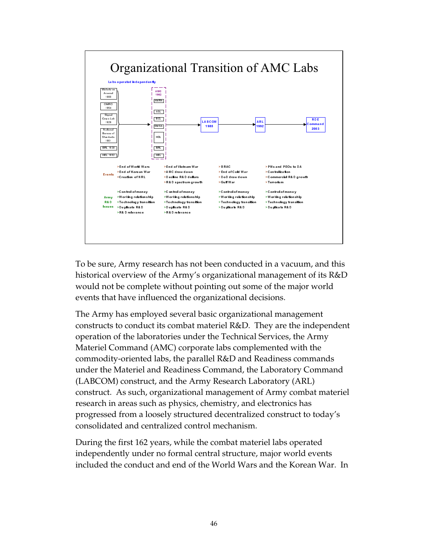

To be sure, Army research has not been conducted in a vacuum, and this historical overview of the Army's organizational management of its R&D would not be complete without pointing out some of the major world events that have influenced the organizational decisions.

The Army has employed several basic organizational management constructs to conduct its combat materiel R&D. They are the independent operation of the laboratories under the Technical Services, the Army Materiel Command (AMC) corporate labs complemented with the commodity-oriented labs, the parallel R&D and Readiness commands under the Materiel and Readiness Command, the Laboratory Command (LABCOM) construct, and the Army Research Laboratory (ARL) construct. As such, organizational management of Army combat materiel research in areas such as physics, chemistry, and electronics has progressed from a loosely structured decentralized construct to today's consolidated and centralized control mechanism.

During the first 162 years, while the combat materiel labs operated independently under no formal central structure, major world events included the conduct and end of the World Wars and the Korean War. In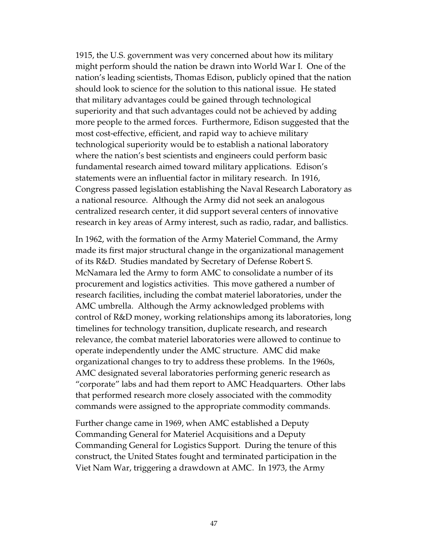1915, the U.S. government was very concerned about how its military might perform should the nation be drawn into World War I. One of the nation's leading scientists, Thomas Edison, publicly opined that the nation should look to science for the solution to this national issue. He stated that military advantages could be gained through technological superiority and that such advantages could not be achieved by adding more people to the armed forces. Furthermore, Edison suggested that the most cost-effective, efficient, and rapid way to achieve military technological superiority would be to establish a national laboratory where the nation's best scientists and engineers could perform basic fundamental research aimed toward military applications. Edison's statements were an influential factor in military research. In 1916, Congress passed legislation establishing the Naval Research Laboratory as a national resource. Although the Army did not seek an analogous centralized research center, it did support several centers of innovative research in key areas of Army interest, such as radio, radar, and ballistics.

In 1962, with the formation of the Army Materiel Command, the Army made its first major structural change in the organizational management of its R&D. Studies mandated by Secretary of Defense Robert S. McNamara led the Army to form AMC to consolidate a number of its procurement and logistics activities. This move gathered a number of research facilities, including the combat materiel laboratories, under the AMC umbrella. Although the Army acknowledged problems with control of R&D money, working relationships among its laboratories, long timelines for technology transition, duplicate research, and research relevance, the combat materiel laboratories were allowed to continue to operate independently under the AMC structure. AMC did make organizational changes to try to address these problems. In the 1960s, AMC designated several laboratories performing generic research as "corporate" labs and had them report to AMC Headquarters. Other labs that performed research more closely associated with the commodity commands were assigned to the appropriate commodity commands.

Further change came in 1969, when AMC established a Deputy Commanding General for Materiel Acquisitions and a Deputy Commanding General for Logistics Support. During the tenure of this construct, the United States fought and terminated participation in the Viet Nam War, triggering a drawdown at AMC. In 1973, the Army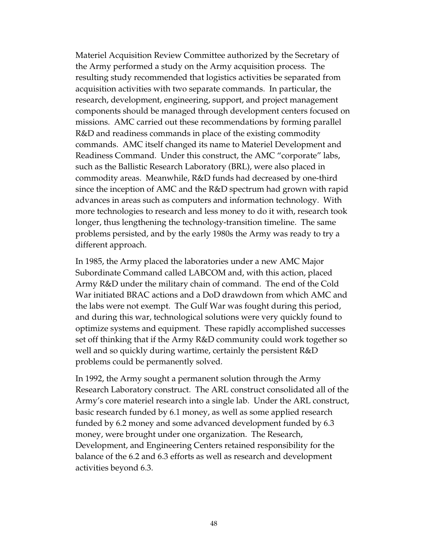Materiel Acquisition Review Committee authorized by the Secretary of the Army performed a study on the Army acquisition process. The resulting study recommended that logistics activities be separated from acquisition activities with two separate commands. In particular, the research, development, engineering, support, and project management components should be managed through development centers focused on missions. AMC carried out these recommendations by forming parallel R&D and readiness commands in place of the existing commodity commands. AMC itself changed its name to Materiel Development and Readiness Command. Under this construct, the AMC "corporate" labs, such as the Ballistic Research Laboratory (BRL), were also placed in commodity areas. Meanwhile, R&D funds had decreased by one-third since the inception of AMC and the R&D spectrum had grown with rapid advances in areas such as computers and information technology. With more technologies to research and less money to do it with, research took longer, thus lengthening the technology-transition timeline. The same problems persisted, and by the early 1980s the Army was ready to try a different approach.

In 1985, the Army placed the laboratories under a new AMC Major Subordinate Command called LABCOM and, with this action, placed Army R&D under the military chain of command. The end of the Cold War initiated BRAC actions and a DoD drawdown from which AMC and the labs were not exempt. The Gulf War was fought during this period, and during this war, technological solutions were very quickly found to optimize systems and equipment. These rapidly accomplished successes set off thinking that if the Army R&D community could work together so well and so quickly during wartime, certainly the persistent R&D problems could be permanently solved.

In 1992, the Army sought a permanent solution through the Army Research Laboratory construct. The ARL construct consolidated all of the Army's core materiel research into a single lab. Under the ARL construct, basic research funded by 6.1 money, as well as some applied research funded by 6.2 money and some advanced development funded by 6.3 money, were brought under one organization. The Research, Development, and Engineering Centers retained responsibility for the balance of the 6.2 and 6.3 efforts as well as research and development activities beyond 6.3.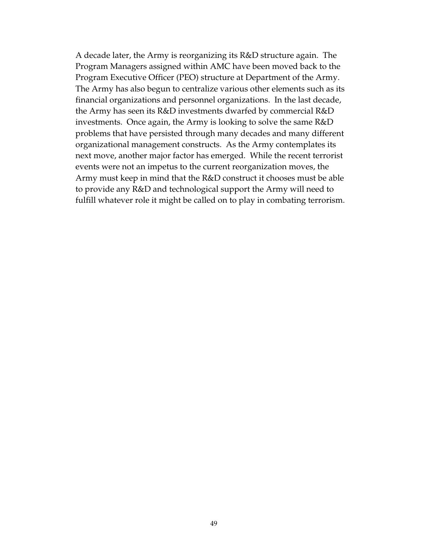A decade later, the Army is reorganizing its R&D structure again. The Program Managers assigned within AMC have been moved back to the Program Executive Officer (PEO) structure at Department of the Army. The Army has also begun to centralize various other elements such as its financial organizations and personnel organizations. In the last decade, the Army has seen its R&D investments dwarfed by commercial R&D investments. Once again, the Army is looking to solve the same R&D problems that have persisted through many decades and many different organizational management constructs. As the Army contemplates its next move, another major factor has emerged. While the recent terrorist events were not an impetus to the current reorganization moves, the Army must keep in mind that the R&D construct it chooses must be able to provide any R&D and technological support the Army will need to fulfill whatever role it might be called on to play in combating terrorism.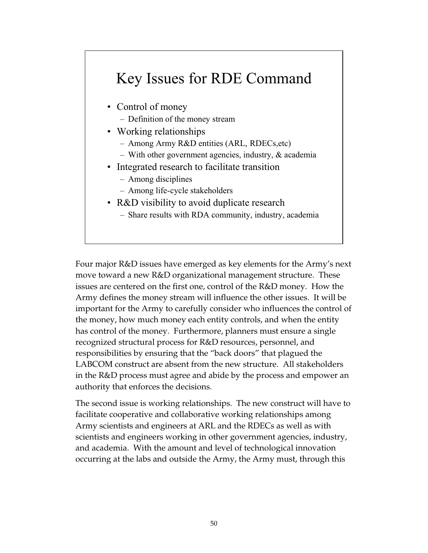## Key Issues for RDE Command

- Control of money
	- Definition of the money stream
- Working relationships
	- Among Army R&D entities (ARL, RDECs,etc)
	- With other government agencies, industry, & academia
- Integrated research to facilitate transition
	- Among disciplines
	- Among life-cycle stakeholders
- R&D visibility to avoid duplicate research
	- Share results with RDA community, industry, academia

Four major R&D issues have emerged as key elements for the Army's next move toward a new R&D organizational management structure. These issues are centered on the first one, control of the R&D money. How the Army defines the money stream will influence the other issues. It will be important for the Army to carefully consider who influences the control of the money, how much money each entity controls, and when the entity has control of the money. Furthermore, planners must ensure a single recognized structural process for R&D resources, personnel, and responsibilities by ensuring that the "back doors" that plagued the LABCOM construct are absent from the new structure. All stakeholders in the R&D process must agree and abide by the process and empower an authority that enforces the decisions.

The second issue is working relationships. The new construct will have to facilitate cooperative and collaborative working relationships among Army scientists and engineers at ARL and the RDECs as well as with scientists and engineers working in other government agencies, industry, and academia. With the amount and level of technological innovation occurring at the labs and outside the Army, the Army must, through this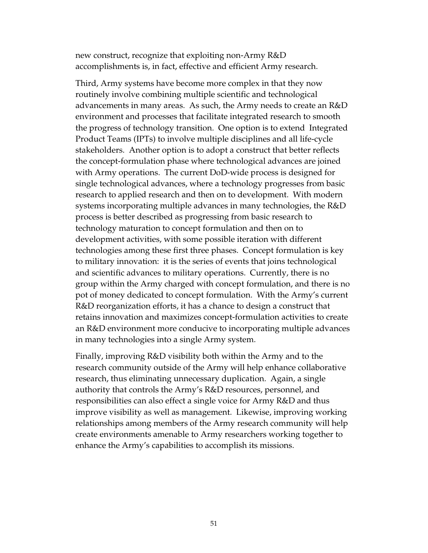new construct, recognize that exploiting non-Army R&D accomplishments is, in fact, effective and efficient Army research.

Third, Army systems have become more complex in that they now routinely involve combining multiple scientific and technological advancements in many areas. As such, the Army needs to create an R&D environment and processes that facilitate integrated research to smooth the progress of technology transition. One option is to extend Integrated Product Teams (IPTs) to involve multiple disciplines and all life-cycle stakeholders. Another option is to adopt a construct that better reflects the concept-formulation phase where technological advances are joined with Army operations. The current DoD-wide process is designed for single technological advances, where a technology progresses from basic research to applied research and then on to development. With modern systems incorporating multiple advances in many technologies, the R&D process is better described as progressing from basic research to technology maturation to concept formulation and then on to development activities, with some possible iteration with different technologies among these first three phases. Concept formulation is key to military innovation: it is the series of events that joins technological and scientific advances to military operations. Currently, there is no group within the Army charged with concept formulation, and there is no pot of money dedicated to concept formulation. With the Army's current R&D reorganization efforts, it has a chance to design a construct that retains innovation and maximizes concept-formulation activities to create an R&D environment more conducive to incorporating multiple advances in many technologies into a single Army system.

Finally, improving R&D visibility both within the Army and to the research community outside of the Army will help enhance collaborative research, thus eliminating unnecessary duplication. Again, a single authority that controls the Army's R&D resources, personnel, and responsibilities can also effect a single voice for Army R&D and thus improve visibility as well as management. Likewise, improving working relationships among members of the Army research community will help create environments amenable to Army researchers working together to enhance the Army's capabilities to accomplish its missions.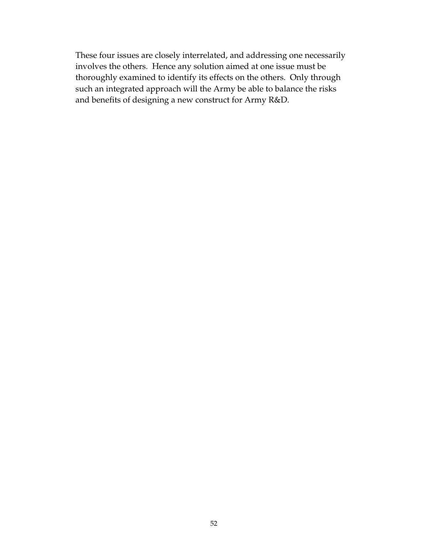These four issues are closely interrelated, and addressing one necessarily involves the others. Hence any solution aimed at one issue must be thoroughly examined to identify its effects on the others. Only through such an integrated approach will the Army be able to balance the risks and benefits of designing a new construct for Army R&D.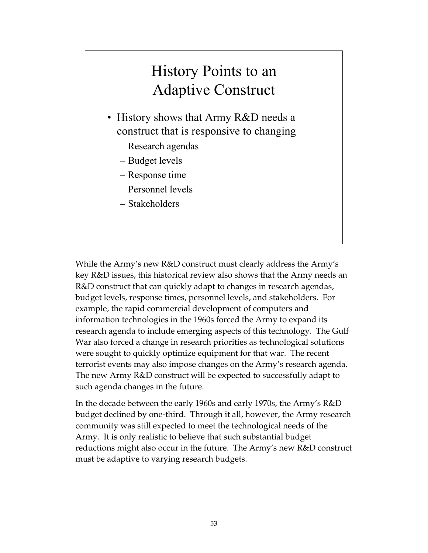## History Points to an **Adaptive Construct**

- History shows that Army R&D needs a construct that is responsive to changing
	- Research agendas
	- Budget levels
	- Response time
	- Personnel levels
	- Stakeholders

While the Army's new R&D construct must clearly address the Army's key R&D issues, this historical review also shows that the Army needs an R&D construct that can quickly adapt to changes in research agendas, budget levels, response times, personnel levels, and stakeholders. For example, the rapid commercial development of computers and information technologies in the 1960s forced the Army to expand its research agenda to include emerging aspects of this technology. The Gulf War also forced a change in research priorities as technological solutions were sought to quickly optimize equipment for that war. The recent terrorist events may also impose changes on the Army's research agenda. The new Army R&D construct will be expected to successfully adapt to such agenda changes in the future.

In the decade between the early 1960s and early 1970s, the Army's R&D budget declined by one-third. Through it all, however, the Army research community was still expected to meet the technological needs of the Army. It is only realistic to believe that such substantial budget reductions might also occur in the future. The Army's new R&D construct must be adaptive to varying research budgets.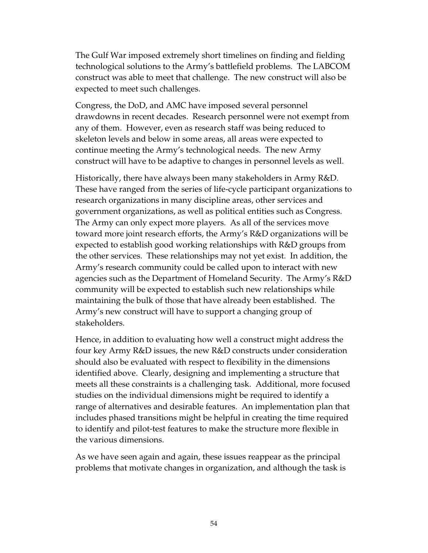The Gulf War imposed extremely short timelines on finding and fielding technological solutions to the Army's battlefield problems. The LABCOM construct was able to meet that challenge. The new construct will also be expected to meet such challenges.

Congress, the DoD, and AMC have imposed several personnel drawdowns in recent decades. Research personnel were not exempt from any of them. However, even as research staff was being reduced to skeleton levels and below in some areas, all areas were expected to continue meeting the Army's technological needs. The new Army construct will have to be adaptive to changes in personnel levels as well.

Historically, there have always been many stakeholders in Army R&D. These have ranged from the series of life-cycle participant organizations to research organizations in many discipline areas, other services and government organizations, as well as political entities such as Congress. The Army can only expect more players. As all of the services move toward more joint research efforts, the Army's R&D organizations will be expected to establish good working relationships with R&D groups from the other services. These relationships may not yet exist. In addition, the Army's research community could be called upon to interact with new agencies such as the Department of Homeland Security. The Army's R&D community will be expected to establish such new relationships while maintaining the bulk of those that have already been established. The Army's new construct will have to support a changing group of stakeholders.

Hence, in addition to evaluating how well a construct might address the four key Army R&D issues, the new R&D constructs under consideration should also be evaluated with respect to flexibility in the dimensions identified above. Clearly, designing and implementing a structure that meets all these constraints is a challenging task. Additional, more focused studies on the individual dimensions might be required to identify a range of alternatives and desirable features. An implementation plan that includes phased transitions might be helpful in creating the time required to identify and pilot-test features to make the structure more flexible in the various dimensions.

As we have seen again and again, these issues reappear as the principal problems that motivate changes in organization, and although the task is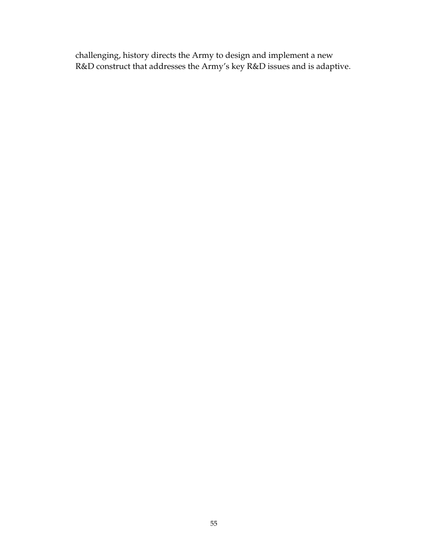challenging, history directs the Army to design and implement a new R&D construct that addresses the Army's key R&D issues and is adaptive.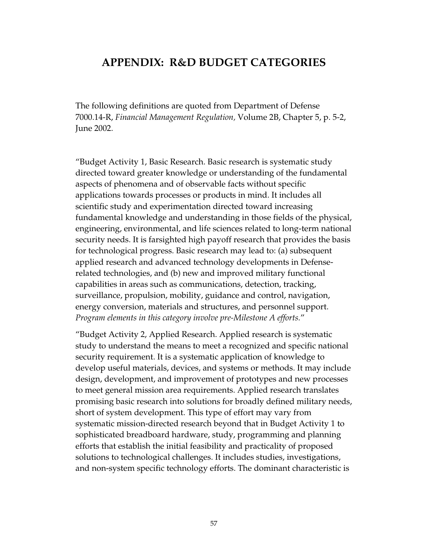#### **APPENDIX: R&D BUDGET CATEGORIES**

The following definitions are quoted from Department of Defense 7000.14-R, *Financial Management Regulation,* Volume 2B, Chapter 5, p. 5-2, June 2002.

"Budget Activity 1, Basic Research. Basic research is systematic study directed toward greater knowledge or understanding of the fundamental aspects of phenomena and of observable facts without specific applications towards processes or products in mind. It includes all scientific study and experimentation directed toward increasing fundamental knowledge and understanding in those fields of the physical, engineering, environmental, and life sciences related to long-term national security needs. It is farsighted high payoff research that provides the basis for technological progress. Basic research may lead to: (a) subsequent applied research and advanced technology developments in Defenserelated technologies, and (b) new and improved military functional capabilities in areas such as communications, detection, tracking, surveillance, propulsion, mobility, guidance and control, navigation, energy conversion, materials and structures, and personnel support. *Program elements in this category involve pre-Milestone A efforts.*"

"Budget Activity 2, Applied Research. Applied research is systematic study to understand the means to meet a recognized and specific national security requirement. It is a systematic application of knowledge to develop useful materials, devices, and systems or methods. It may include design, development, and improvement of prototypes and new processes to meet general mission area requirements. Applied research translates promising basic research into solutions for broadly defined military needs, short of system development. This type of effort may vary from systematic mission-directed research beyond that in Budget Activity 1 to sophisticated breadboard hardware, study, programming and planning efforts that establish the initial feasibility and practicality of proposed solutions to technological challenges. It includes studies, investigations, and non-system specific technology efforts. The dominant characteristic is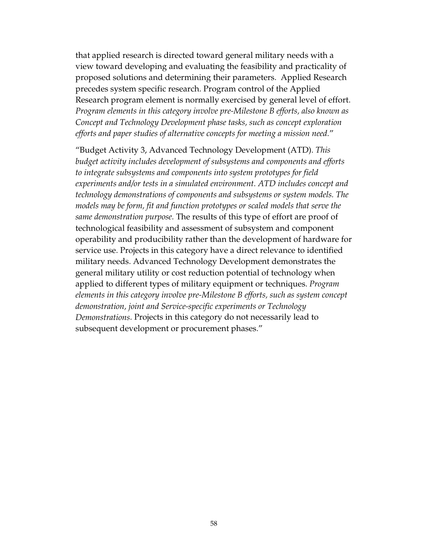that applied research is directed toward general military needs with a view toward developing and evaluating the feasibility and practicality of proposed solutions and determining their parameters. Applied Research precedes system specific research. Program control of the Applied Research program element is normally exercised by general level of effort. *Program elements in this category involve pre-Milestone B efforts, also known as Concept and Technology Development phase tasks, such as concept exploration efforts and paper studies of alternative concepts for meeting a mission need.*"

"Budget Activity 3, Advanced Technology Development (ATD). *This budget activity includes development of subsystems and components and efforts to integrate subsystems and components into system prototypes for field experiments and/or tests in a simulated environment. ATD includes concept and technology demonstrations of components and subsystems or system models. The models may be form, fit and function prototypes or scaled models that serve the same demonstration purpose.* The results of this type of effort are proof of technological feasibility and assessment of subsystem and component operability and producibility rather than the development of hardware for service use. Projects in this category have a direct relevance to identified military needs. Advanced Technology Development demonstrates the general military utility or cost reduction potential of technology when applied to different types of military equipment or techniques. *Program elements in this category involve pre-Milestone B efforts, such as system concept demonstration, joint and Service-specific experiments or Technology Demonstrations*. Projects in this category do not necessarily lead to subsequent development or procurement phases."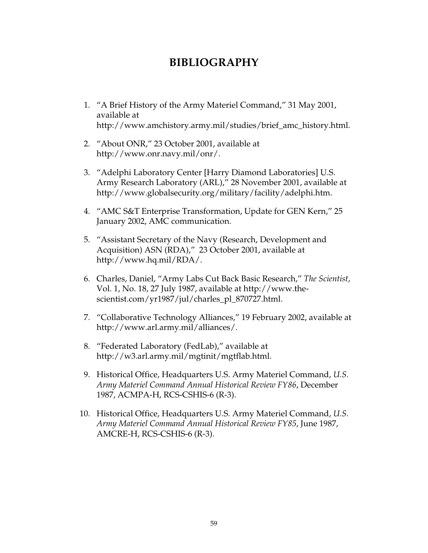#### **BIBLIOGRAPHY**

- 1. "A Brief History of the Army Materiel Command," 31 May 2001, available at http://www.amchistory.army.mil/studies/brief\_amc\_history.html.
- 2. "About ONR," 23 October 2001, available at http://www.onr.navy.mil/onr/.
- 3. "Adelphi Laboratory Center [Harry Diamond Laboratories] U.S. Army Research Laboratory (ARL)," 28 November 2001, available at http://www.globalsecurity.org/military/facility/adelphi.htm.
- 4. "AMC S&T Enterprise Transformation, Update for GEN Kern," 25 January 2002, AMC communication.
- 5. "Assistant Secretary of the Navy (Research, Development and Acquisition) ASN (RDA)," 23 October 2001, available at http://www.hq.mil/RDA/.
- 6. Charles, Daniel, "Army Labs Cut Back Basic Research," *The Scientist*, Vol. 1, No. 18, 27 July 1987, available at http://www.thescientist.com/yr1987/jul/charles\_pl\_870727.html.
- 7. "Collaborative Technology Alliances," 19 February 2002, available at http://www.arl.army.mil/alliances/.
- 8. "Federated Laboratory (FedLab)," available at http://w3.arl.army.mil/mgtinit/mgtflab.html.
- 9. Historical Office, Headquarters U.S. Army Materiel Command, *U.S. Army Materiel Command Annual Historical Review FY86*, December 1987, ACMPA-H, RCS-CSHIS-6 (R-3).
- 10. Historical Office, Headquarters U.S. Army Materiel Command, *U.S. Army Materiel Command Annual Historical Review FY85*, June 1987, AMCRE-H, RCS-CSHIS-6 (R-3).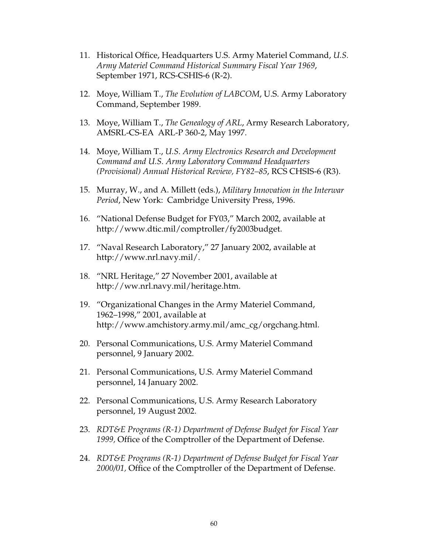- 11. Historical Office, Headquarters U.S. Army Materiel Command, *U.S. Army Materiel Command Historical Summary Fiscal Year 1969*, September 1971, RCS-CSHIS-6 (R-2).
- 12. Moye, William T., *The Evolution of LABCOM*, U.S. Army Laboratory Command, September 1989.
- 13. Moye, William T., *The Genealogy of ARL*, Army Research Laboratory, AMSRL-CS-EA ARL-P 360-2, May 1997.
- 14. Moye, William T., *U.S. Army Electronics Research and Development Command and U.S. Army Laboratory Command Headquarters (Provisional) Annual Historical Review, FY82–85*, RCS CHSIS-6 (R3).
- 15. Murray, W., and A. Millett (eds.), *Military Innovation in the Interwar Period*, New York: Cambridge University Press, 1996.
- 16. "National Defense Budget for FY03," March 2002, available at http://www.dtic.mil/comptroller/fy2003budget.
- 17. "Naval Research Laboratory," 27 January 2002, available at http://www.nrl.navy.mil/.
- 18. "NRL Heritage," 27 November 2001, available at http://ww.nrl.navy.mil/heritage.htm.
- 19. "Organizational Changes in the Army Materiel Command, 1962–1998," 2001, available at http://www.amchistory.army.mil/amc\_cg/orgchang.html.
- 20. Personal Communications, U.S. Army Materiel Command personnel, 9 January 2002.
- 21. Personal Communications, U.S. Army Materiel Command personnel, 14 January 2002.
- 22. Personal Communications, U.S. Army Research Laboratory personnel, 19 August 2002.
- 23. *RDT&E Programs (R-1) Department of Defense Budget for Fiscal Year 1999,* Office of the Comptroller of the Department of Defense.
- 24. *RDT&E Programs (R-1) Department of Defense Budget for Fiscal Year 2000/01,* Office of the Comptroller of the Department of Defense.